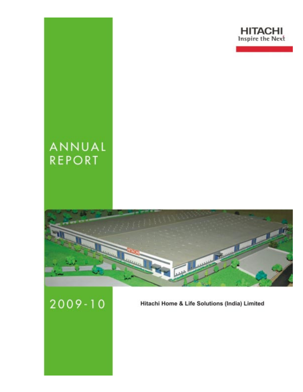

# ANNUAL **REPORT**



 $2009 - 10$ 

Hitachi Home & Life Solutions (India) Limited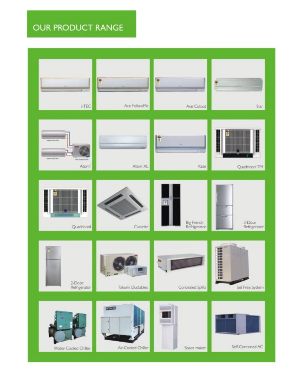# **OUR PRODUCT RANGE**

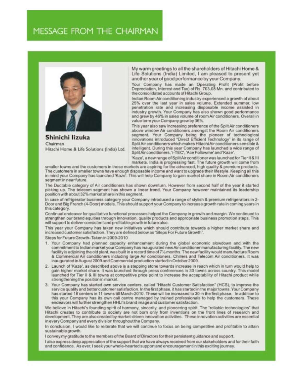# MESSAGE FROM THE CHAIRMAN



Shinichi lizuka Chairman Hitachi Home & Life Solutions (India) Ltd. My warm greetings to all the shareholders of Hitachi Home & Life Solutions (India) Limited, I am pleased to present yet another year of good performance by your Company.

Your Company has made an Operating Profit (Profit before Depreciation, Interest and Tax) of Rs. 703.08 Mn. and contributed to the consolidated accounts of Hitachi Group.

Indian Room Air conditioning industry experienced a growth of about 25% over the last year in sales volume. Extended summer, low penetration rate and increasing disposable income assisted in industry growth. Your Company has also shown good performance and grew by 46% in sales volume of room Air conditioners. Overall in value term your Company grew by 36%.

This year also saw increasing preference of the Split Air conditioners above window Air conditioners amongst the Room Air conditioners segment. Your Company being the pioneer of technological innovations introduced "Direct Efficient Technology" in its range of Split Air conditioners which makes Hitachi Air conditioners sensible & intelligent. During this year Company has launched a wide range of SplitAir conditioners, 'i-TEC', 'Ace Followme' and 'Kaze'.

'Kaze', a new range of SplitAir conditioner was launched for Tier II & III

markets. India is progressing fast. The future growth will come from<br>smaller towns and the customers in those markets are aspiring for the advanced, high quality & premium products. The customers in smaller towns have enough disposable income and want to upgrade their lifestyle. Keeping all this in mind your Company has launched 'Kaze'. This will help Company to gain market share in Room Air conditioners segment in near future

The Ductable category of Air conditioners has shown downturn. However from second half of the year it started picking up. The telecom segment has shown a linear trend. Your Company however maintained its leadership position with about 32% market share in this segment.

In case of refrigerator business category your Company introduced a range of stylish & premium refrigerators in 2-Door and Big French (4-Door) models. This should support your Company to increase growth rate in coming years in this category.

Continual endeavor for qualitative functional processes helped the Company in growth and margin. We continued to strengthen our brand equities through innovation, quality products and appropriate business promotion steps. This will support to deliver consistent and profitable growth in future also.

This year your Company has taken new initiatives which should contribute towards a higher market share and increased customer satisfaction. They are defined below as "Steps For Future Growth".

Steps for Future Growth-Taken in 2009-2010

- 1. Your Company had planned capacity enhancement during the global economic slowdown and with the commitment to Indian market your Company has inaugurated new Air conditioner manufacturing facility. The new facility is adjoining the old plant, was built in a record time of 71/2 months. The new facility would manufacture Room & Commercial Air conditioners including large Air conditioners, Chillers and Telecom Air conditioners. It was inaugurated in August 2009 and Commercial production started in October 2009.
- 2. Launch of 'Kaze', as described above is a stepping stone towards increase in reach which in turn would help to gain higher market share. It was launched through press conferences in 30 towns across country. This model launched for Tier II & III towns at competitive price point to increase the acceptability of Hitachi product while strengthening the position in market.
- 3. Your Company has started own service centers, called "Hitachi Customer Satisfaction" (HCS), to improve the service quality and better customer satisfaction. In the first phase, it has started in the major towns. Your Company has started 18 centers in 11 towns till March-2010. These will be increased to 30 in the first phase. In addition to this your Company has its own call centre managed by trained professionals to help the customers. These endeavors will further strengthen HHLI's brand image and customer satisfaction.

We believe in Hitachi's founding spirit of harmony, sincerity, and pioneering spirit. The "reliable technologies" that Hitachi creates to contribute to society are not born only from inventions on the front lines of research and development. They are also created by market-driven innovation activities. These innovation activities are essential in every Company and every division throughout the Company.

In conclusion, I would like to reiterate that we will continue to focus on being competitive and profitable to attain sustainable growth.

I convey my gratitude to the members of the Board of Directors for their persistent guidance and support.

I also express deep appreciation of the support that we have always received from our stakeholders and for their faith and confidence. As ever, I seek your whole-hearted support and encouragement in this exciting journey.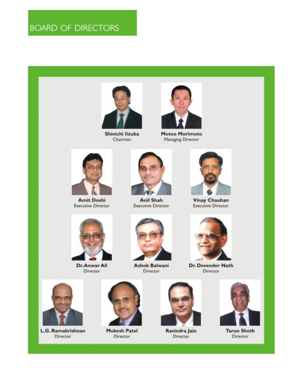# **BOARD OF DIRECTORS**



Shinichi lizuka Chairman



Motoo Morimoto Managing Director



**Amit Doshi Executive Director** 



**Anil Shah Executive Director** 



**Vinay Chauhan Executive Director** 



Dr. Anwar Ali Director



**Ashok Balwani** Director



Dr. Devender Nath Director



L.G. Ramakrishnan Director



**Mukesh Patel** Director



Ravindra Jain Director



**Tarun Sheth** Director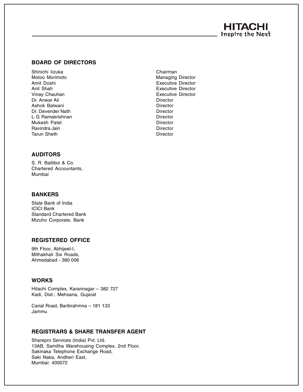## **HITACHI** Inspire the Next

#### **BOARD OF DIRECTORS**

Shinichi Iizuka Chairman Chairman Chairman Chairman Motoo Morimoto **Managing Director** Managing Director Amit Doshi Executive Director Anil Shah **Executive Director Executive Director** Vinay Chauhan **Executive Director** Executive Director Dr. Anwar Ali **Director** Ashok Balwani **Director** Director Dr. Devender Nath **Director** L G Ramakrishnan **Director** Director Mukesh Patel **Director** Director Ravindra Jain **Director Director** Tarun Sheth **Director** Director

#### **AUDITORS**

S. R. Batliboi & Co. Chartered Accountants, Mumbai

#### **BANKERS**

State Bank of India ICICI Bank Standard Chartered Bank Mizuho Corporate, Bank

#### **REGISTERED OFFICE**

9th Floor, Abhijeet-I, Mithakhali Six Roads, Ahmedabad - 380 006

#### **WORKS**

Hitachi Complex, Karannagar – 382 727 Kadi, Dist.: Mehsana, Gujarat

Canal Road, Baribrahmna – 181 133 Jammu

#### **REGISTRARS & SHARE TRANSFER AGENT**

Sharepro Services (India) Pvt. Ltd. 13AB, Samitha Warehousing Complex, 2nd Floor, Sakinaka Telephone Exchange Road, Saki Naka, Andheri East, Mumbai: 400072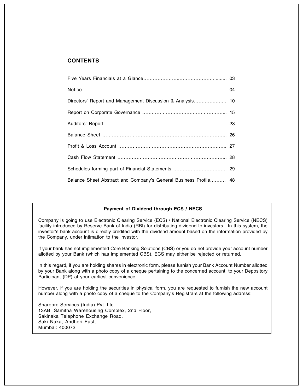#### **CONTENTS**

| Directors' Report and Management Discussion & Analysis 10        |  |
|------------------------------------------------------------------|--|
|                                                                  |  |
|                                                                  |  |
|                                                                  |  |
|                                                                  |  |
|                                                                  |  |
|                                                                  |  |
| Balance Sheet Abstract and Company's General Business Profile 48 |  |

#### **Payment of Dividend through ECS / NECS**

Company is going to use Electronic Clearing Service (ECS) / National Electronic Clearing Service (NECS) facility introduced by Reserve Bank of India (RBI) for distributing dividend to investors. In this system, the investor's bank account is directly credited with the dividend amount based on the information provided by the Company, under intimation to the investor.

If your bank has not implemented Core Banking Solutions (CBS) or you do not provide your account number allotted by your Bank (which has implemented CBS), ECS may either be rejected or returned.

In this regard, if you are holding shares in electronic form, please furnish your Bank Account Number allotted by your Bank along with a photo copy of a cheque pertaining to the concerned account, to your Depository Participant (DP) at your earliest convenience.

However, if you are holding the securities in physical form, you are requested to furnish the new account number along with a photo copy of a cheque to the Company's Registrars at the following address:

Sharepro Services (India) Pvt. Ltd. 13AB, Samitha Warehousing Complex, 2nd Floor, Sakinaka Telephone Exchange Road, Saki Naka, Andheri East, Mumbai: 400072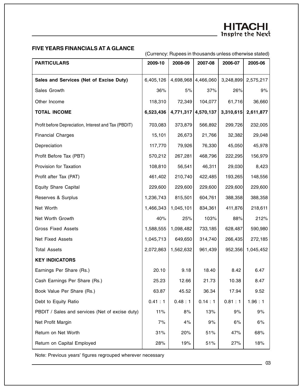#### **FIVE YEARS FINANCIALS AT A GLANCE**

(Currency: Rupees in thousands unless otherwise stated)

| <b>PARTICULARS</b>                                   | 2009-10   | 2008-09   | 2007-08             | 2006-07   | 2005-06   |
|------------------------------------------------------|-----------|-----------|---------------------|-----------|-----------|
| Sales and Services (Net of Excise Duty)              | 6,405,126 |           | 4,698,968 4,466,060 | 3,248,899 | 2,575,217 |
|                                                      |           |           |                     |           |           |
| Sales Growth                                         | 36%       | 5%        | 37%                 | 26%       | 9%        |
| Other Income                                         | 118,310   | 72,349    | 104,077             | 61,716    | 36,660    |
| <b>TOTAL INCOME</b>                                  | 6,523,436 |           | 4,771,317 4,570,137 | 3,310,615 | 2,611,877 |
| Profit before Depreciation, Interest and Tax (PBDIT) | 703,083   | 373,879   | 566,892             | 299,726   | 232,005   |
| <b>Financial Charges</b>                             | 15,101    | 26,673    | 21,766              | 32,382    | 29,048    |
| Depreciation                                         | 117,770   | 79,926    | 76,330              | 45,050    | 45,978    |
| Profit Before Tax (PBT)                              | 570,212   | 267,281   | 468,796             | 222,295   | 156,979   |
| Provision for Taxation                               | 108,810   | 56,541    | 46,311              | 29,030    | 8,423     |
| Profit after Tax (PAT)                               | 461,402   | 210,740   | 422,485             | 193,265   | 148,556   |
| <b>Equity Share Capital</b>                          | 229,600   | 229,600   | 229,600             | 229,600   | 229,600   |
| Reserves & Surplus                                   | 1,236,743 | 815,501   | 604,761             | 388,358   | 388,358   |
| Net Worth                                            | 1,466,343 | 1,045,101 | 834,361             | 411,876   | 218,611   |
| Net Worth Growth                                     | 40%       | 25%       | 103%                | 88%       | 212%      |
| <b>Gross Fixed Assets</b>                            | 1,588,555 | 1,098,482 | 733,185             | 628,487   | 590,980   |
| Net Fixed Assets                                     | 1,045,713 | 649,650   | 314,740             | 266,435   | 272,185   |
| <b>Total Assets</b>                                  | 2,072,863 | 1,562,632 | 961,439             | 952,356   | 1,045,452 |
| <b>KEY INDICATORS</b>                                |           |           |                     |           |           |
| Earnings Per Share (Rs.)                             | 20.10     | 9.18      | 18.40               | 8.42      | 6.47      |
| Cash Earnings Per Share (Rs.)                        | 25.23     | 12.66     | 21.73               | 10.38     | 8.47      |
| Book Value Per Share (Rs.)                           | 63.87     | 45.52     | 36.34               | 17.94     | 9.52      |
| Debt to Equity Ratio                                 | 0.41 : 1  | 0.48:1    | 0.14:1              | 0.81:1    | 1.96:1    |
| PBDIT / Sales and services (Net of excise duty)      | 11%       | 8%        | 13%                 | 9%        | 9%        |
| Net Profit Margin                                    | 7%        | 4%        | 9%                  | 6%        | 6%        |
| Return on Net Worth                                  | 31%       | 20%       | 51%                 | 47%       | 68%       |
| Return on Capital Employed                           | 28%       | 19%       | 51%                 | 27%       | 18%       |

Note: Previous years' figures regrouped wherever necessary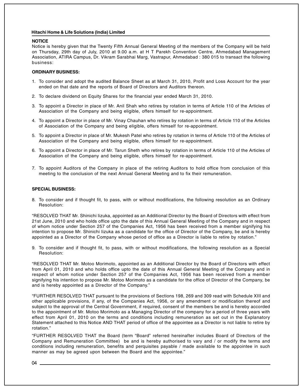#### **NOTICE**

Notice is hereby given that the Twenty Fifth Annual General Meeting of the members of the Company will be held on Thursday, 29th day of July, 2010 at 9.00 a.m. at H T Parekh Convention Centre, Ahmedabad Management Association, ATIRA Campus, Dr. Vikram Sarabhai Marg, Vastrapur, Ahmedabad : 380 015 to transact the following business:

#### **ORDINARY BUSINESS:**

- 1. To consider and adopt the audited Balance Sheet as at March 31, 2010, Profit and Loss Account for the year ended on that date and the reports of Board of Directors and Auditors thereon.
- 2. To declare dividend on Equity Shares for the financial year ended March 31, 2010.
- 3. To appoint a Director in place of Mr. Anil Shah who retires by rotation in terms of Article 110 of the Articles of Association of the Company and being eligible, offers himself for re-appointment.
- 4. To appoint a Director in place of Mr. Vinay Chauhan who retires by rotation in terms of Article 110 of the Articles of Association of the Company and being eligible, offers himself for re-appointment.
- 5. To appoint a Director in place of Mr. Mukesh Patel who retires by rotation in terms of Article 110 of the Articles of Association of the Company and being eligible, offers himself for re-appointment.
- 6. To appoint a Director in place of Mr. Tarun Sheth who retires by rotation in terms of Article 110 of the Articles of Association of the Company and being eligible, offers himself for re-appointment.
- 7. To appoint Auditors of the Company in place of the retiring Auditors to hold office from conclusion of this meeting to the conclusion of the next Annual General Meeting and to fix their remuneration.

#### **SPECIAL BUSINESS:**

8. To consider and if thought fit, to pass, with or without modifications, the following resolution as an Ordinary Resolution:

"RESOLVED THAT Mr. Shinichi Iizuka, appointed as an Additional Director by the Board of Directors with effect from 21st June, 2010 and who holds office upto the date of this Annual General Meeting of the Company and in respect of whom notice under Section 257 of the Companies Act, 1956 has been received from a member signifying his intention to propose Mr. Shinichi Iizuka as a candidate for the office of Director of the Company, be and is hereby appointed as a Director of the Company whose period of office as a Director is liable to retire by rotation."

9. To consider and if thought fit, to pass, with or without modifications, the following resolution as a Special Resolution:

"RESOLVED THAT Mr. Motoo Morimoto, appointed as an Additional Director by the Board of Directors with effect from April 01, 2010 and who holds office upto the date of this Annual General Meeting of the Company and in respect of whom notice under Section 257 of the Companies Act, 1956 has been received from a member signifying his intention to propose Mr. Motoo Morimoto as a candidate for the office of Director of the Company, be and is hereby appointed as a Director of the Company."

"FURTHER RESOLVED THAT pursuant to the provisions of Sections 198, 269 and 309 read with Schedule XIII and other applicable provisions, if any, of the Companies Act, 1956, or any amendment or modification thereof and subject to the approval of the Central Government, if required, consent of the members be and is hereby accorded to the appointment of Mr. Motoo Morimoto as a Managing Director of the company for a period of three years with effect from April 01, 2010 on the terms and conditions including remuneration as set out in the Explanatory Statement attached to this Notice AND THAT period of office of the appointee as a Director is not liable to retire by rotation."

"FURTHER RESOLVED THAT the Board (term "Board" referred hereinafter includes Board of Directors of the Company and Remuneration Committee) be and is hereby authorised to vary and / or modify the terms and conditions including remuneration, benefits and perquisites payable / made available to the appointee in such manner as may be agreed upon between the Board and the appointee."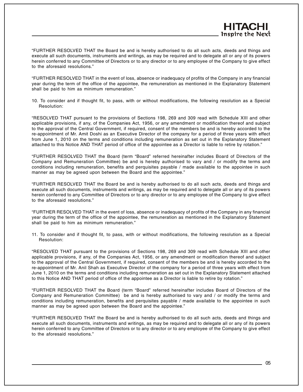"FURTHER RESOLVED THAT in the event of loss, absence or inadequacy of profits of the Company in any financial year during the term of the office of the appointee, the remuneration as mentioned in the Explanatory Statement shall be paid to him as minimum remuneration."

10. To consider and if thought fit, to pass, with or without modifications, the following resolution as a Special Resolution:

"RESOLVED THAT pursuant to the provisions of Sections 198, 269 and 309 read with Schedule XIII and other applicable provisions, if any, of the Companies Act, 1956, or any amendment or modification thereof and subject to the approval of the Central Government, if required, consent of the members be and is hereby accorded to the re-appointment of Mr. Amit Doshi as an Executive Director of the company for a period of three years with effect from June 1, 2010 on the terms and conditions including remuneration as set out in the Explanatory Statement attached to this Notice AND THAT period of office of the appointee as a Director is liable to retire by rotation."

"FURTHER RESOLVED THAT the Board (term "Board" referred hereinafter includes Board of Directors of the Company and Remuneration Committee) be and is hereby authorised to vary and / or modify the terms and conditions including remuneration, benefits and perquisites payable / made available to the appointee in such manner as may be agreed upon between the Board and the appointee."

"FURTHER RESOLVED THAT the Board be and is hereby authorised to do all such acts, deeds and things and execute all such documents, instruments and writings, as may be required and to delegate all or any of its powers herein conferred to any Committee of Directors or to any director or to any employee of the Company to give effect to the aforesaid resolutions."

"FURTHER RESOLVED THAT in the event of loss, absence or inadequacy of profits of the Company in any financial year during the term of the office of the appointee, the remuneration as mentioned in the Explanatory Statement shall be paid to him as minimum remuneration."

11. To consider and if thought fit, to pass, with or without modifications, the following resolution as a Special Resolution:

"RESOLVED THAT pursuant to the provisions of Sections 198, 269 and 309 read with Schedule XIII and other applicable provisions, if any, of the Companies Act, 1956, or any amendment or modification thereof and subject to the approval of the Central Government, if required, consent of the members be and is hereby accorded to the re-appointment of Mr. Anil Shah as Executive Director of the company for a period of three years with effect from June 1, 2010 on the terms and conditions including remuneration as set out in the Explanatory Statement attached to this Notice AND THAT period of office of the appointee as a Director is liable to retire by rotation."

"FURTHER RESOLVED THAT the Board (term "Board" referred hereinafter includes Board of Directors of the Company and Remuneration Committee) be and is hereby authorised to vary and / or modify the terms and conditions including remuneration, benefits and perquisites payable / made available to the appointee in such manner as may be agreed upon between the Board and the appointee."

"FURTHER RESOLVED THAT the Board be and is hereby authorised to do all such acts, deeds and things and execute all such documents, instruments and writings, as may be required and to delegate all or any of its powers herein conferred to any Committee of Directors or to any director or to any employee of the Company to give effect to the aforesaid resolutions."

HITACI **Inspire the Next**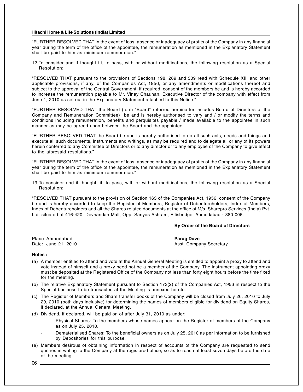"FURTHER RESOLVED THAT in the event of loss, absence or inadequacy of profits of the Company in any financial year during the term of the office of the appointee, the remuneration as mentioned in the Explanatory Statement shall be paid to him as minimum remuneration."

12.To consider and if thought fit, to pass, with or without modifications, the following resolution as a Special Resolution:

"RESOLVED THAT pursuant to the provisions of Sections 198, 269 and 309 read with Schedule XIII and other applicable provisions, if any, of the Companies Act, 1956, or any amendments or modifications thereof and subject to the approval of the Central Government, if required, consent of the members be and is hereby accorded to increase the remuneration payable to Mr. Vinay Chauhan, Executive Director of the company with effect from June 1, 2010 as set out in the Explanatory Statement attached to this Notice."

"FURTHER RESOLVED THAT the Board (term "Board" referred hereinafter includes Board of Directors of the Company and Remuneration Committee) be and is hereby authorised to vary and / or modify the terms and conditions including remuneration, benefits and perquisites payable / made available to the appointee in such manner as may be agreed upon between the Board and the appointee.

"FURTHER RESOLVED THAT the Board be and is hereby authorised to do all such acts, deeds and things and execute all such documents, instruments and writings, as may be required and to delegate all or any of its powers herein conferred to any Committee of Directors or to any director or to any employee of the Company to give effect to the aforesaid resolutions."

"FURTHER RESOLVED THAT in the event of loss, absence or inadequacy of profits of the Company in any financial year during the term of the office of the appointee, the remuneration as mentioned in the Explanatory Statement shall be paid to him as minimum remuneration."

13.To consider and if thought fit, to pass, with or without modifications, the following resolution as a Special Resolution:

"RESOLVED THAT pursuant to the provision of Section 163 of the Companies Act, 1956, consent of the Company be and is hereby accorded to keep the Register of Members, Register of Debentureholders, Index of Members, Index of Debentureholders and all the Shares related documents at the office of M/s. Sharepro Services (India) Pvt. Ltd. situated at 416-420, Devnandan Mall, Opp. Sanyas Ashram, Ellisbridge, Ahmedabad - 380 006.

#### **By Order of the Board of Directors**

Place: Ahmedabad **Parag Dave**

Asst. Company Secretary

#### **Notes :**

- (a) A member entitled to attend and vote at the Annual General Meeting is entitled to appoint a proxy to attend and vote instead of himself and a proxy need not be a member of the Company. The instrument appointing proxy must be deposited at the Registered Office of the Company not less than forty eight hours before the time fixed for the meeting.
- (b) The relative Explanatory Statement pursuant to Section 173(2) of the Companies Act, 1956 in respect to the Special business to be transacted at the Meeting is annexed hereto.
- (c) The Register of Members and Share transfer books of the Company will be closed from July 26, 2010 to July 29, 2010 (both days inclusive) for determining the names of members eligible for dividend on Equity Shares, if declared, at the Annual General Meeting.
- (d) Dividend, if declared, will be paid on of after July 31, 2010 as under:
	- Physical Shares: To the members whose names appear on the Register of members of the Company as on July 25, 2010.
	- Dematerialised Shares: To the beneficial owners as on July 25, 2010 as per information to be furnished by Depositories for this purpose.
- (e) Members desirous of obtaining information in respect of accounts of the Company are requested to send queries in writing to the Company at the registered office, so as to reach at least seven days before the date of the meeting.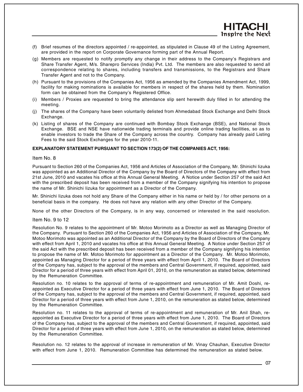- (f) Brief resumes of the directors appointed / re-appointed, as stipulated in Clause 49 of the Listing Agreement, are provided in the report on Corporate Governance forming part of the Annual Report.
- (g) Members are requested to notify promptly any change in their address to the Company's Registrars and Share Transfer Agent, M/s. Sharepro Services (India) Pvt. Ltd. The members are also requested to send all correspondence relating to shares, including transfers and transmissions, to the Registrars and Share Transfer Agent and not to the Company.
- (h) Pursuant to the provisions of the Companies Act, 1956 as amended by the Companies Amendment Act, 1999, facility for making nominations is available for members in respect of the shares held by them. Nomination form can be obtained from the Company's Registered Office.
- (i) Members / Proxies are requested to bring the attendance slip sent herewith duly filled in for attending the meeting.
- (j) The shares of the Company have been voluntarily delisted from Ahmedabad Stock Exchange and Delhi Stock Exchange.
- (k) Listing of shares of the Company are continued with Bombay Stock Exchange (BSE), and National Stock Exchange. BSE and NSE have nationwide trading terminals and provide online trading facilities, so as to enable investors to trade the Share of the Company across the country. Company has already paid Listing Fees to the said Stock Exchanges for the year 2010-11.

#### **EXPLANATORY STATEMENT PURSUANT TO SECTION 173(2) OF THE COMPANIES ACT, 1956:**

#### Item No. 8

Pursuant to Section 260 of the Companies Act, 1956 and Articles of Association of the Company, Mr. Shinichi Iizuka was appointed as an Additional Director of the Company by the Board of Directors of the Company with effect from 21st June, 2010 and vacates his office at this Annual General Meeting. A Notice under Section 257 of the said Act with the prescribed deposit has been received from a member of the Company signifying his intention to propose the name of Mr. Shinichi Iizuka for appointment as a Director of the Company.

Mr. Shinichi Iizuka does not hold any Share of the Company either in his name or held by / for other persons on a beneficial basis in the company. He does not have any relation with any other Director of the Company.

None of the other Directors of the Company, is in any way, concerned or interested in the said resolution.

#### Item No. 9 to 12

Resolution No. 9 relates to the appointment of Mr. Motoo Morimoto as a Director as well as Managing Director of the Company. Pursuant to Section 260 of the Companies Act, 1956 and Articles of Association of the Company, Mr. Motoo Morimoto was appointed as an Additional Director of the Company by the Board of Directors of the Company with effect from April 1, 2010 and vacates his office at this Annual General Meeting. A Notice under Section 257 of the said Act with the prescribed deposit has been received from a member of the Company signifying his intention to propose the name of Mr. Motoo Morimoto for appointment as a Director of the Company. Mr. Motoo Morimoto, appointed as Managing Director for a period of three years with effect from April 1, 2010. The Board of Directors of the Company has, subject to the approval of the members and Central Government, if required, appointed, said Director for a period of three years with effect from April 01, 2010, on the remuneration as stated below, determined by the Remuneration Committee.

Resolution no. 10 relates to the approval of terms of re-appointment and remuneration of Mr. Amit Doshi, reappointed as Executive Director for a period of three years with effect from June 1, 2010. The Board of Directors of the Company has, subject to the approval of the members and Central Government, if required, appointed, said Director for a period of three years with effect from June 1, 2010, on the remuneration as stated below, determined by the Remuneration Committee.

Resolution no. 11 relates to the approval of terms of re-appointment and remuneration of Mr. Anil Shah, reappointed as Executive Director for a period of three years with effect from June 1, 2010. The Board of Directors of the Company has, subject to the approval of the members and Central Government, if required, appointed, said Director for a period of three years with effect from June 1, 2010, on the remuneration as stated below, determined by the Remuneration Committee.

Resolution no. 12 relates to the approval of increase in remuneration of Mr. Vinay Chauhan, Executive Director with effect from June 1, 2010. Remuneration Committee has determined the remuneration as stated below.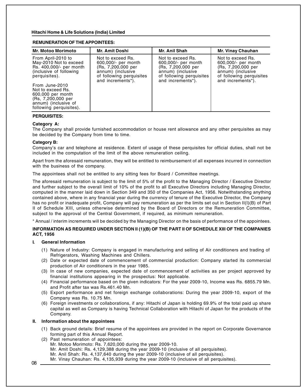#### **REMUNERATION OF THE APPOINTEES:**

| <b>Mr. Motoo Morimoto</b>                                                                                                         | <b>Mr. Amit Doshi</b>                                                                                                                | Mr. Anil Shah                                                                                                                        | Mr. Vinay Chauhan                                                                                                                    |
|-----------------------------------------------------------------------------------------------------------------------------------|--------------------------------------------------------------------------------------------------------------------------------------|--------------------------------------------------------------------------------------------------------------------------------------|--------------------------------------------------------------------------------------------------------------------------------------|
| From April-2010 to<br>May-2010 Not to exceed<br>Rs. 400,000/- per month<br>(inclusive of following)<br>perquisites).              | Not to exceed Rs.<br>600,000/- per month<br>(Rs. 7,200,000 per<br>annum) (inclusive<br>of following perquisites<br>and increments*). | Not to exceed Rs.<br>600,000/- per month<br>(Rs, 7,200,000 per<br>annum) (inclusive<br>of following perquisites<br>and increments*). | Not to exceed Rs.<br>600,000/- per month<br>(Rs, 7,200,000 per<br>annum) (inclusive<br>of following perquisites<br>and increments*). |
| From June-2010<br>Not to exceed Rs.<br>600,000 per month<br>(Rs, 7,200,000 per<br>annum) (inclusive of<br>following perquisites). |                                                                                                                                      |                                                                                                                                      |                                                                                                                                      |

#### **PERQUISITES:**

#### **Category A:**

The Company shall provide furnished accommodation or house rent allowance and any other perquisites as may be decided by the Company from time to time.

#### **Category B:**

Company's car and telephone at residence. Extent of usage of these perquisites for official duties, shall not be included in the computation of the limit of the above remuneration ceiling.

Apart from the aforesaid remuneration, they will be entitled to reimbursement of all expenses incurred in connection with the business of the company.

The appointees shall not be entitled to any sitting fees for Board / Committee meetings.

The aforesaid remuneration is subject to the limit of 5% of the profit to the Managing Director / Executive Director and further subject to the overall limit of 10% of the profit to all Executive Directors including Managing Director, computed in the manner laid down in Section 349 and 350 of the Companies Act, 1956. Notwithstanding anything contained above, where in any financial year during the currency of tenure of the Executive Director, the Company has no profit or inadequate profit, Company will pay remuneration as per the limits set out in Section II(I)(B) of Part II of Schedule XIII, unless otherwise determined by the Board of Directors or the Remuneration Committee, subject to the approval of the Central Government, if required, as minimum remuneration.

\* Annual / interim increments will be decided by the Managing Director on the basis of performance of the appointees.

#### **INFORMATION AS REQUIRED UNDER SECTION II (1)(B) OF THE PART II OF SCHEDULE XIII OF THE COMPANIES ACT, 1956**

#### **I. General Information**

- (1) Nature of Industry: Company is engaged in manufacturing and selling of Air conditioners and trading of Refrigerators, Washing Machines and Chillers.
- (2) Date or expected date of commencement of commercial production: Company started its commercial production of Air conditioners in the year 1985.
- (3) In case of new companies, expected date of commencement of activities as per project approved by financial institutions appearing in the prospectus: Not applicable.
- (4) Financial performance based on the given indicators: For the year 2009-10, Income was Rs. 6855.79 Mn. and Profit after tax was Rs.461.40 Mn.
- (5) Export performance and net foreign exchange collaborations: During the year 2009-10, export of the Company was Rs. 10.75 Mn.
- (6) Foreign investments or collaborations, if any: Hitachi of Japan is holding 69.9% of the total paid up share capital as well as Company is having Technical Collaboration with Hitachi of Japan for the products of the Company.

#### **II. Information about the appointees**

- (1) Back ground details: Brief resume of the appointees are provided in the report on Corporate Governance forming part of this Annual Report.
- (2) Past remuneration of appointees:
	- Mr. Motoo Morimoto: Rs. 7,620,000 during the year 2009-10.
	- Mr. Amit Doshi: Rs. 4,129,388 during the year 2009-10 (inclusive of all perquisites).
	- Mr. Anil Shah: Rs. 4,137,640 during the year 2009-10 (inclusive of all perquisites).
	- Mr. Vinay Chauhan: Rs. 4,135,939 during the year 2009-10 (inclusive of all perquisites).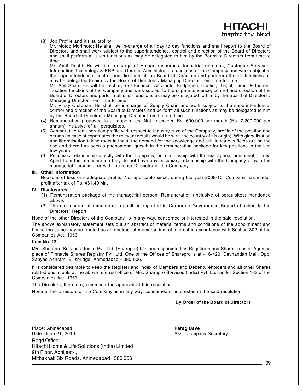(3) Job Profile and his suitability:

Mr. Motoo Morimoto: He shall be in-charge of all day to day functions and shall report to the Board of Directors and shall work subject to the superintendence, control and direction of the Board of Directors and shall perform all such functions as may be delegated to him by the Board of Directors from time to time.

Mr. Amit Doshi: He will be in-charge of Human resources, Industrial relations, Customer Services, Information Technology & ERP and General Administration functions of the Company and work subject to the superintendence, control and direction of the Board of Directors and perform all such functions as may be delegated to him by the Board of Directors / Managing Director from time to time.

Mr. Anil Shah: He will be in-charge of Finance, Accounts, Budgeting, Costing, Legal, Direct & Indirect Taxation functions of the Company and work subject to the superintendence, control and direction of the Board of Directors and perform all such functions as may be delegated to him by the Board of Directors / Managing Director from time to time.

Mr. Vinay Chauhan: He shall be in-charge of Supply Chain and work subject to the superintendence, control and direction of the Board of Directors and perform all such functions as may be delegated to him by the Board of Directors / Managing Director from time to time.

- (4) Remuneration proposed to all appointees: Not to exceed Rs. 600,000 per month (Rs. 7,200,000 per annum) inclusive of all perquisites.
- (5) Comparative remuneration profile with respect to industry, size of the Company, profile of the position and person (in case of expatriates the relevant details would be w.r.t. the country of his origin): With globalisation and liberalisation taking roots in India, the demand for the knowledge and skill in various fields are on the rise and there has been a phenomenal growth in the remuneration package for key positions in the last few years.
- (6) Pecuniary relationship directly with the Company, or relationship with the managerial personnel, if any: Apart from the remuneration they do not have any pecuniary relationship with the Company or with the managerial personnel or with the other Direcotrs of the Company.

#### **III. Other Information**

Reasons of loss or inadequate profits: Not applicable since, during the year 2009-10, Company has made profit after tax of Rs. 461.40 Mn.

#### **IV. Disclosures**

- (1) Remuneration package of the managerial person: Remuneration (inclusive of perquisites) mentioned above.
- (2) The disclosures of remuneration shall be reported in Corporate Governance Report attached to the Directors' Report.

None of the other Directors of the Company, is in any way, concerned or interested in the said resolution.

The above explanatory statement sets out an abstract of material terms and conditions of the appointment and hence the same may be treated as an abstract of memorandum of interest in accordance with Section 302 of the Companies Act, 1956.

#### **Item No. 13**

M/s. Sharepro Services (India) Pvt. Ltd. (Sharepro) has been appointed as Registrars and Share Transfer Agent in place of Pinnacle Shares Registry Pvt. Ltd. One of the Offices of Sharepro is at 416-420, Devnandan Mall, Opp. Sanyas Ashram, Ellisbridge, Ahmedabad - 380 006.

It is considered desirable to keep the Register and Index of Members and Debentureholders and all other Shares related documents at the above referred office of M/s. Sharepro Services (India) Pvt. Ltd. under Section 163 of the Companies Act, 1956.

The Directors, therefore, commend the approval of this resolution.

None of the Directors of the Company, is in any way, concerned or interested in the said resolution.

#### **By Order of the Board of Directors**

Place: Ahmedabad **Parag Dave** Date: June 21, 2010 **Asst. Company Secretary** Regd Office: Hitachi Home & Life Solutions (India) Limited 9th Floor, Abhijeet-I, Mithakhali Six Roads, Ahmedabad : 380 006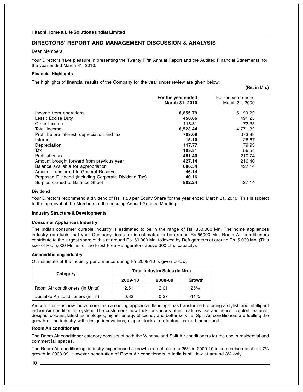#### **DIRECTORS' REPORT AND MANAGEMENT DISCUSSION & ANALYSIS**

Dear Members,

Your Directors have pleasure in presenting the Twenty Fifth Annual Report and the Audited Financial Statements, for the year ended March 31, 2010.

#### **Financial Highlights**

The highlights of financial results of the Company for the year under review are given below:

**(Rs. in Mn.)**

|                                                      | For the year ended<br>March 31, 2010 | For the year ended<br>March 31, 2009 |
|------------------------------------------------------|--------------------------------------|--------------------------------------|
| Income from operations                               | 6,855.79                             | 5,190.22                             |
| Less: Excise Duty                                    | 450.66                               | 491.25                               |
| Other Income                                         | 118.31                               | 72.35                                |
| Total Income                                         | 6,523.44                             | 4,771.32                             |
| Profit before interest, depreciation and tax         | 703.08                               | 373.88                               |
| Interest                                             | 15.10                                | 26.67                                |
| Depreciation                                         | 117.77                               | 79.93                                |
| Tax                                                  | 108.81                               | 56.54                                |
| Profit after tax                                     | 461.40                               | 210.74                               |
| Amount brought forward from previous year            | 427.14                               | 216.40                               |
| Balance available for appropriation                  | 888.54                               | 427.14                               |
| Amount transferred to General Reserve                | 46.14                                |                                      |
| Proposed Dividend (including Corporate Dividend Tax) | 40.16                                |                                      |
| Surplus carried to Balance Sheet                     | 802.24                               | 427.14                               |

#### **Dividend**

Your Directors recommend a dividend of Rs. 1.50 per Equity Share for the year ended March 31, 2010. This is subject to the approval of the Members at the ensuing Annual General Meeting.

#### **Industry Structure & Developments**

#### **Consumer Appliances Industry**

The Indian consumer durable industry is estimated to be in the range of Rs. 350,000 Mn. The home appliances industry (products that your Company deals in) is estimated to be around Rs.55000 Mn. Room Air conditioners contribute to the largest share of this at around Rs. 50,000 Mn. followed by Refrigerators at around Rs. 5,000 Mn. (This size of Rs. 5,000 Mn. is for the Frost Free Refrigerators above 300 Ltrs. capacity).

#### **Air conditioning Industry**

Our estimate of the industry performance during FY 2009-10 is given below;

| Category                           | <b>Total Industry Sales (in Mn.)</b> |         |        |  |
|------------------------------------|--------------------------------------|---------|--------|--|
|                                    | 2009-10                              | 2008-09 | Growth |  |
| Room Air conditioners (in Units)   | 2.51                                 | 2.01    | 25%    |  |
| Ductable Air conditioners (in Tr.) | 0.33                                 | 0.37    | $-11%$ |  |

Air conditioner is now much more than a cooling appliance. Its image has transformed to being a stylish and intelligent indoor Air conditioning system. The customer's now look for various other features like aesthetics, comfort features, designs, colours, latest technologies, higher energy efficiency and better service. Split Air conditioners are fuelling the growth of the industry with design innovations, elegant looks in a feature packed indoor unit.

#### **Room Air conditioners**

The Room Air conditioner category consists of both the Window and Split Air conditioners for the use in residential and commercial spaces.

The Room Air conditioning industry experienced a growth rate of close to 25% in 2009-10 in comparison to about 7% growth in 2008-09. However penetration of Room Air conditioners in India is still low at around 3% only.

10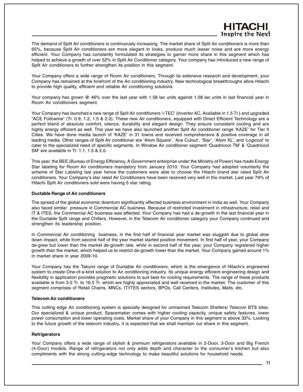### **HITAGI Inspire the Next**

The demand of Split Air conditioners is continuously increasing. The market share of Split Air conditioners is more than 65%, because Split Air conditioners are more elegant in looks, produce much lesser noise and are more energy efficient. Your Company has constantly formulated its strategies to garner more share in this segment which has helped to achieve a growth of over 52% in Split Air Conditioner category. Your company has introduced a new range of Split Air conditioners to further strengthen its position in this segment.

Your Company offers a wide range of Room Air conditioners. Through its extensive research and development, your Company has remained at the forefront of the Air conditioning industry. New technological breakthroughs allow Hitachi to provide high quality, efficient and reliable Air conditioning solutions.

Your company has grown @ 46% over the last year with 1.58 lac units against 1.08 lac units in last financial year in Room Air conditioners segment.

Your Company has launched a new range of Split Air conditioners 'i-TEC' (Inverter AC, Available in 1.5 Tr.) and upgraded "ACE Followme" (Tr. 0.9, 1.2, 1.5 & 2.0). These new Air conditioners, equipped with Direct Efficient Technology are a perfect blend of absolute comfort, silence, durability and elegant design. They ensure consistent cooling and are highly energy efficient as well. This year we have also launched another Split Air conditioner range 'KAZE' for Tier II Cities. We have done media launch of 'KAZE' in 31 towns and received comprehensive & positive coverage in all leading media. Other ranges of Split Air conditioner are 'Atom Square', 'Ace Cutout', 'Star', 'Atom XL', and 'Logicool' to cater to the specialized need of specific segments. In Window Air conditioner segment 'Quadricool TM' & 'Quadricool SM' are available in Tr. 1.1, 1.5 & 2.0.

This year, the BEE (Bureau of Energy Efficiency, A Government enterprise under the Ministry of Power) has made Energy Star labeling for Room Air conditioners mandatory from January 2010. Your Company had adopted voluntarily the scheme of Star Labeling last year hence the customers were able to choose the Hitachi brand star rated Split Air conditioners. Your Company's star rated Air Conditioners have been received very well in the market. Last year 79% of Hitachi Split Air conditioners sold were having 5 star rating.

#### **Ductable Range of Air conditioners**

The spread of the global economic downturn significantly affected business environment in India as well. Your Company also faced similar pressure in Commercial AC business. Because of restricted investment in infrastructure, retail and IT & ITES, the Commercial AC business was affected. Your Company has had a de-growth in the last financial year in the Ductable Split range and Chillers. However, in the Telecom Air conditioner category your Company continued and strengthen its leadership position.

In Commercial Air conditioning business, in the first half of financial year market was sluggish due to global slow down impact, while from second half of the year market started positive movement. In first half of year, your Company de-grew but lower than the market de-growth rate, while in second half of the year, your Company registered higher growth than the market, which helped us to restrict de-growth lower than the market. Your Company gained around 1% in market share in year 2009-10.

Your Company has the Takumi range of Ductable Air conditioners, which is the emergence of Hitachi's engineered system to create One-of-a-kind solution to Air conditioning industry. Its unique energy efficient engineering design and flexibility in application provides pragmatic solutions to suit best for cooling requirements. The range of these products available is from 3.0 Tr. to 16.5 Tr. which are highly appreciated and well received in the market. The customer of this segment comprises of Retail Chains, MNCs, IT/ITES sectors, BPOs, Call Centers, Institutes, Malls, etc.

#### **Telecom Air conditioners**

This cutting edge Air conditioning system is specially designed for unmanned Telecom Shelters/ Telecom BTS sites. Our specialized & unique product, Spacemaker comes with higher cooling capacity, unique safety features, lower power consumption and lower operating costs. Market share of your Company in this segment is above 32%. Looking to the future growth of the telecom industry, it is expected that we shall maintain our share in this segment.

#### **Refrigerators**

Your Company offers a wide range of stylish & premium refrigerators available in 2-Door, 3-Door and Big French (4-Door) models. Range of refrigerators not only adds depth and character to the consumer's kitchen but also compliments with the strong cutting–edge technology to make beautiful solutions for household needs.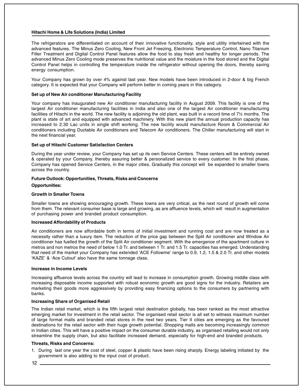The refrigerators are differentiated on account of their innovative functionality, style and utility intertwined with the advanced features. The Minus Zero Cooling, New Front Jet Freezing, Electronic Temperature Control, Nano Titanium Filter Treatment and Digital Control Panel features allow the food to stay fresh and healthy for longer periods. The advanced Minus Zero Cooling mode preserves the nutritional value and the moisture in the food stored and the Digital Control Panel helps in controlling the temperature inside the refrigerator without opening the doors, thereby saving energy consumption.

Your Company has grown by over 4% against last year. New models have been introduced in 2-door & big French category. It is expected that your Company will perform better in coming years in this category.

#### **Set up of New Air conditioner Manufacturing Facility**

Your company has inaugurated new Air conditioner manufacturing facility in August 2009. This facility is one of the largest Air conditioner manufacturing facilities in India and also one of the largest Air conditioner manufacturing facilities of Hitachi in the world. The new facility is adjoining the old plant, was built in a record time of 7½ months. The plant is state of art and equipped with advanced machinery. With this new plant the annual production capacity has increased to 2.30 Lac units in single shift working. The new facility would manufacture Room & Commercial Air conditioners including Ductable Air conditioners and Telecom Air conditioners. The Chiller manufacturing will start in the next financial year.

#### **Set up of Hitachi Customer Satisfaction Centers**

During the year under review, your Company has set up its own Service Centers. These centers will be entirely owned & operated by your Company, thereby assuring better & personalized service to every customer. In the first phase, Company has opened Service Centers, in the major cities. Gradually this concept will be expanded to smaller towns across the country.

#### **Future Outlook: Opportunities, Threats, Risks and Concerns**

#### **Opportunities:**

#### **Growth in Smaller Towns**

Smaller towns are showing encouraging growth. These towns are very critical, as the next round of growth will come from them. The relevant consumer base is large and growing, as are affluence levels, which will result in augmentation of purchasing power and branded product consumption.

#### **Increased Affordability of Products**

Air conditioners are now affordable both in terms of initial investment and running cost and are now treated as a necessity rather than a luxury item. The reduction of the price gap between the Split Air conditioner and Window Air conditioner has fuelled the growth of the Split Air conditioner segment. With the emergence of the apartment culture in metros and non metros the need of below 1.0 Tr. and between 1 Tr. and 1.5 Tr. capacities has emerged. Understanding that need of the market your Company has extended 'ACE Followme' range to 0.9, 1.2, 1.5 & 2.0 Tr. and other models 'KAZE' & 'Ace Cutout' also have the same tonnage class.

#### **Increase in Income Levels**

Increasing affluence levels across the country will lead to increase in consumption growth. Growing middle class with increasing disposable income supported with robust economic growth are good signs for the industry. Retailers are marketing their goods more aggressively by providing easy financing options to the consumers by partnering with banks.

#### **Increasing Share of Organised Retail**

The Indian retail market, which is the fifth largest retail destination globally, has been ranked as the most attractive emerging market for investment in the retail sector. The organised retail sector is all set to witness maximum number of large format malls and branded retail stores in the next two years. Tier II cities are emerging as the favoured destinations for the retail sector with their huge growth potential. Shopping malls are becoming increasingly common in Indian cities. This will have a positive impact on the consumer durable industry, as organised retailing would not only streamline the supply chain, but also facilitate increased demand, especially for high-end and branded products.

#### **Threats, Risks and Concerns:**

1. During last one year the cost of steel, copper & plastic have been rising sharply. Energy labeling initiated by the government is also adding to the input cost of product.

 $12 -$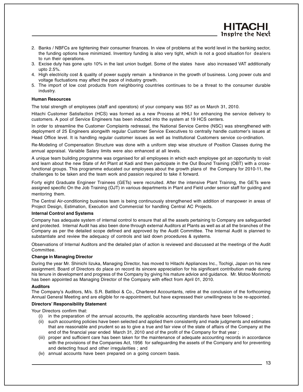- 2. Banks / NBFCs are tightening their consumer finances. In view of problems at the world level in the banking sector, the funding options have minimized. Inventory funding is also very tight, which is not a good situation for dealers to run their operations.
- 3. Excise duty has gone upto 10% in the last union budget. Some of the states have also increased VAT additionally upto 2.5%.
- 4. High electricity cost & quality of power supply remain a hindrance in the growth of business. Long power cuts and voltage fluctuations may affect the pace of industry growth.
- 5. The import of low cost products from neighboring countries continues to be a threat to the consumer durable industry.

#### **Human Resources**

The total strength of employees (staff and operators) of your company was 557 as on March 31, 2010.

Hitachi Customer Satisfaction (HCS) was formed as a new Process at HHLI for enhancing the service delivery to customers. A pool of Service Engineers has been inducted into the system at 19 HCS centers.

In order to streamline the Customer Complaints redressal, the National Service Centre (NSC) was strengthened with deployment of 25 Engineers alongwith regular Customer Service Executives to centrally handle customer's issues at Head Office level. It is handling regular customer issues as well as Institutional Customers service co-ordination.

Re-Modeling of Compensation Structure was done with a uniform step wise structure of Position Classes during the annual appraisal. Variable Salary limits were also enhanced at all levels.

A unique team building programme was organised for all employees in which each employee got an opportunity to visit and learn about the new State of Art Plant at Kadi and then participate in the Out Bound Training (OBT) with a crossfunctional groups. This programme educated our employees about the growth plans of the Company for 2010-11, the challenges to be taken and the team work and passion required to take it forward.

Forty eight Graduate Engineer Trainees (GETs) were recruited. After the intensive Plant Training, the GETs were assigned specific On the Job Training (OJT) in various departments in Plant and Field under senior staff for guiding and mentoring them.

The Central Air-conditioning business team is being continuously strengthened with addition of manpower in areas of Project Design, Estimation, Execution and Commercial for handling Central AC Projects.

#### **Internal Control and Systems**

Company has adequate system of internal control to ensure that all the assets pertaining to Company are safeguarded and protected. Internal Audit has also been done through external Auditors at Plants as well as at all the branches of the Company as per the detailed scope defined and approved by the Audit Committee. The Internal Audit is planned to substantiate and review the adequacy of controls and laid down procedures & systems.

Observations of Internal Auditors and the detailed plan of action is reviewed and discussed at the meetings of the Audit Committee.

#### **Change in Managing Director**

During the year Mr. Shinichi Iizuka, Managing Director, has moved to Hitachi Appliances Inc., Tochigi, Japan on his new assignment. Board of Directors do place on record its sincere appreciation for his significant contribution made during his tenure in development and progress of the Company by giving his mature advice and guidance. Mr. Motoo Morimoto has been appointed as Managing Director of the Company with effect from April 01, 2010.

#### **Auditors**

The Company's Auditors, M/s. S.R. Batliboi & Co., Chartered Accountants, retire at the conclusion of the forthcoming Annual General Meeting and are eligible for re-appointment, but have expressed their unwillingness to be re-appointed.

#### **Directors' Responsibility Statement**

Your Directors confirm that:

- (i) in the preparation of the annual accounts, the applicable accounting standards have been followed ;
- (ii) such accounting policies have been selected and applied them consistently and made judgments and estimates that are reasonable and prudent so as to give a true and fair view of the state of affairs of the Company at the end of the financial year ended March 31, 2010 and of the profit of the Company for that year ;
- (iii) proper and sufficient care has been taken for the maintenance of adequate accounting records in accordance with the provisions of the Companies Act, 1956 for safeguarding the assets of the Company and for preventing and detecting fraud and other irregularities ; and
- (iv) annual accounts have been prepared on a going concern basis.

HITACI **Inspire the Next**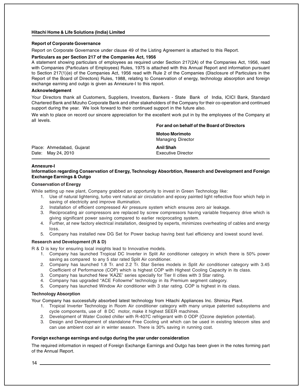#### **Report of Corporate Governance**

Report on Corporate Governance under clause 49 of the Listing Agreement is attached to this Report.

#### **Particulars as per Section 217 of the Companies Act, 1956**

A statement showing particulars of employees as required under Section 217(2A) of the Companies Act, 1956, read with Companies (Particulars of Employees) Rules, 1975 is attached with this Annual Report and information pursuant to Section 217(1)(e) of the Companies Act, 1956 read with Rule 2 of the Companies (Disclosure of Particulars in the Report of the Board of Directors) Rules, 1988, relating to Conservation of energy, technology absorption and foreign exchange earning and outgo is given as Annexure-I to this report.

#### **Acknowledgement**

Your Directors thank all Customers, Suppliers, Investors, Bankers - State Bank of India, ICICI Bank, Standard Chartered Bank and Mizuho Corporate Bank and other stakeholders of the Company for their co-operation and continued support during the year. We look forward to their continued support in the future also.

We wish to place on record our sincere appreciation for the excellent work put in by the employees of the Company at all levels.

#### **For and on behalf of the Board of Directors**

|                                                 | <b>Motoo Morimoto</b><br>Managing Director |
|-------------------------------------------------|--------------------------------------------|
| Place: Ahmedabad, Gujarat<br>Date: May 24, 2010 | Anil Shah<br><b>Executive Director</b>     |

#### **Annexure-I**

#### **Information regarding Conservation of Energy, Technology Absorbtion, Research and Development and Foreign Exchange Earnings & Outgo**

#### **Conservation of Energy**

While setting up new plant, Company grabbed an opportunity to invest in Green Technology like:

- 1. Use of natural lightening, turbo vent natural air circulation and epoxy painted light reflective floor which help in saving of electricity and improve illumination.
- 2. Installation of efficient compressed Air pressure system which ensures zero air leakage.
- 3. Reciprocating air compressors are replaced by screw compressors having variable frequency drive which is giving significant power saving compared to earlier reciprocating system.
- 4. Further, at new factory electrical installation, designed by experts, minimizes overheating of cables and energy loss.
- 5. Company has installed new DG Set for Power backup having best fuel efficiency and lowest sound level.

#### **Research and Development (R & D)**

R & D is key for ensuring local insights lead to Innovative models.

- 1. Company has launched Tropical DC Inverter in Split Air conditioner category in which there is 50% power saving as compared to any 5 star rated Split Air conditioner.
- 2. Company has launched 1.8 Tr. and 2.2 Tr. Star Series models in Split Air conditioner category with 3.45 Coefficient of Performance (COP) which is highest COP with Highest Cooling Capacity in its class.
- 3. Company has launched New 'KAZE' series specially for Tier II cities with 3 Star rating.
- 4. Company has upgraded "ACE Followme" technology in its Premium segment category.
- 5. Company has launched Window Air conditioner with 3 star rating. COP is highest in its class.

#### **Technology Absorption**

Your Company has successfully absorbed latest technology from Hitachi Appliances Inc. Shimizu Plant.

- 1. Tropical Inverter Technology in Room Air conditioner category with many unique patented subsystems and cycle components, use of 8 DC motor, make it highest SEER machines.
- 2. Development of Water Cooled chiller with R-407C refrigerant with 0 ODP (Ozone depletion potential).
- 3. Design and Development of standalone Free Cooling unit which can be used in existing telecom sites and can use ambient cool air in winter season. There is 30% saving in running cost.

#### **Foreign exchange earnings and outgo during the year under consideration**

The required information in respect of Foreign Exchange Earnings and Outgo has been given in the notes forming part of the Annual Report.

 $14$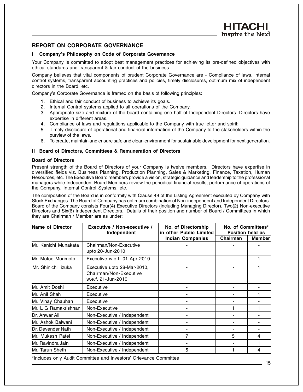#### **REPORT ON CORPORATE GOVERNANCE**

#### **I Company's Philosophy on Code of Corporate Governance**

Your Company is committed to adopt best management practices for achieving its pre-defined objectives with ethical standards and transparent & fair conduct of the business.

Company believes that vital components of prudent Corporate Governance are - Compliance of laws, internal control systems, transparent accounting practices and policies, timely disclosures, optimum mix of independent directors in the Board, etc.

Company's Corporate Governance is framed on the basis of following principles:

- 1. Ethical and fair conduct of business to achieve its goals.
- 2. Internal Control systems applied to all operations of the Company.
- 3. Appropriate size and mixture of the board containing one half of Independent Directors. Directors have expertise in different areas.
- 4. Compliance of laws and regulations applicable to the Company with true letter and spirit;
- 5. Timely disclosure of operational and financial information of the Company to the stakeholders within the purview of the laws.
- 6. To create, maintain and ensure safe and clean environment for sustainable development for next generation.

#### **II Board of Directors, Committees & Remuneration of Directors**

#### **Board of Directors**

Present strength of the Board of Directors of your Company is twelve members. Directors have expertise in diversified fields viz. Business Planning, Production Planning, Sales & Marketing, Finance, Taxation, Human Resources, etc. The Executive Board members provide a vision, strategic guidance and leadership to the professional managers while Independent Board Members review the periodical financial results, performance of operations of the Company, Internal Control Systems, etc.

The composition of the Board is in conformity with Clause 49 of the Listing Agreement executed by Company with Stock Exchanges. The Board of Company has optimum combination of Non-independent and Independent Directors. Board of the Company consists Four(4) Executive Directors (including Managing Director), Two(2) Non-executive Directors and Six(6) Independent Directors. Details of their position and number of Board / Committees in which they are Chairman / Member are as under:

| Name of Director     | Executive / Non-executive /<br>Independent                                  | No. of Directorship<br>in other Public Limited | No. of Committees*<br>Position held as |               |  |
|----------------------|-----------------------------------------------------------------------------|------------------------------------------------|----------------------------------------|---------------|--|
|                      |                                                                             | <b>Indian Companies</b>                        | Chairman                               | <b>Member</b> |  |
| Mr. Kenichi Munakata | Chairman/Non-Executive<br>upto 20-Jun-2010                                  |                                                |                                        |               |  |
| Mr. Motoo Morimoto   | Executive w.e.f. 01-Apr-2010                                                |                                                |                                        |               |  |
| Mr. Shinichi lizuka  | Executive upto 28-Mar-2010,<br>Chairman/Non-Executive<br>w.e.f. 21-Jun-2010 |                                                |                                        |               |  |
| Mr. Amit Doshi       | Executive                                                                   |                                                |                                        |               |  |
| Mr. Anil Shah        | Executive                                                                   |                                                |                                        |               |  |
| Mr. Vinay Chauhan    | Executive                                                                   |                                                |                                        |               |  |
| Mr. L G Ramakrishnan | Non-Executive                                                               |                                                |                                        |               |  |
| Dr. Anwar Ali        | Non-Executive / Independent                                                 |                                                |                                        |               |  |
| Mr. Ashok Balwani    | Non-Executive / Independent                                                 |                                                |                                        |               |  |
| Dr. Devender Nath    | Non-Executive / Independent                                                 |                                                |                                        |               |  |
| Mr. Mukesh Patel     | Non-Executive / Independent                                                 | 7                                              | 5                                      | 4             |  |
| Mr. Ravindra Jain    | Non-Executive / Independent                                                 |                                                |                                        |               |  |
| Mr. Tarun Sheth      | Non-Executive / Independent                                                 | 5                                              |                                        | 4             |  |

\*Includes only Audit Committee and Investors' Grievance Committee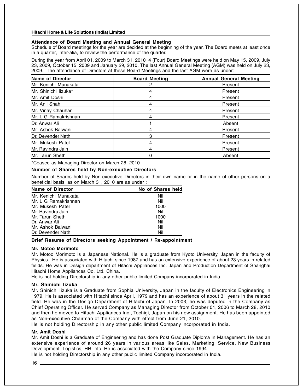#### **Attendance of Board Meeting and Annual General Meeting**

Schedule of Board meetings for the year are decided at the beginning of the year. The Board meets at least once in a quarter, inter-alia, to review the performance of the quarter.

During the year from April 01, 2009 to March 31, 2010 4 (Four) Board Meetings were held on May 15, 2009, July 23, 2009, October 15, 2009 and January 29, 2010. The last Annual General Meeting (AGM) was held on July 23, 2009. The attendance of Directors at these Board Meetings and the last AGM were as under:

| <b>Name of Director</b> | <b>Board Meeting</b> | <b>Annual General Meeting</b> |
|-------------------------|----------------------|-------------------------------|
| Mr. Kenichi Munakata    |                      | Present                       |
| Mr. Shinichi lizuka*    |                      | Present                       |
| Mr. Amit Doshi          |                      | Present                       |
| Mr. Anil Shah           |                      | Present                       |
| Mr. Vinay Chauhan       |                      | Present                       |
| Mr. L G Ramakrishnan    |                      | Present                       |
| Dr. Anwar Ali           |                      | Absent                        |
| Mr. Ashok Balwani       | 4                    | Present                       |
| Dr. Devender Nath       | З                    | Present                       |
| Mr. Mukesh Patel        |                      | Present                       |
| Mr. Ravindra Jain       | 4                    | Present                       |
| Mr. Tarun Sheth         |                      | Absent                        |

\*Ceased as Managing Director on March 28, 2010

#### **Number of Shares held by Non-executive Directors**

Number of Shares held by Non-executive Directors in their own name or in the name of other persons on a beneficial basis, as on March 31, 2010 are as under :

| Name of Director     | No of Shares held |
|----------------------|-------------------|
| Mr. Kenichi Munakata | Nil               |
| Mr. L G Ramakrishnan | Nil               |
| Mr. Mukesh Patel     | 1000              |
| Mr. Ravindra Jain    | Nil               |
| Mr. Tarun Sheth      | 1000              |
| Dr. Anwar Ali        | Nil               |
| Mr. Ashok Balwani    | Nil               |
| Dr. Devender Nath    | Nil               |

#### **Brief Resume of Directors seeking Appointment / Re-appointment**

#### **Mr. Motoo Morimoto**

Mr. Motoo Morimoto is a Japanese National. He is a graduate from Kyoto University, Japan in the faculty of Physics. He is associated with Hitachi since 1987 and has an extensive experience of about 23 years in related fields. He was in Design department of Hitachi Appliances Inc. Japan and Production Department of Shanghai Hitachi Home Appliances Co. Ltd. China.

He is not holding Directorship in any other public limited Company incorporated in India.

#### **Mr. Shinichi Iizuka**

Mr. Shinichi Iizuka is a Graduate from Sophia University, Japan in the faculty of Electronics Engineering in 1979. He is associated with Hitachi since April, 1979 and has an experience of about 31 years in the related field. He was in the Design Department of Hitachi of Japan. In 2003, he was deputed in the Company as Chief Operating Officer. He served Company as Managing Director from October 01, 2006 to March 28, 2010 and then he moved to Hitachi Appliances Inc., Tochigi, Japan on his new assignment. He has been appointed as Non-executive Chairman of the Company with effect from June 21, 2010.

He is not holding Directorship in any other public limited Company incorporated in India.

#### **Mr. Amit Doshi**

Mr. Amit Doshi is a Graduate of Engineering and has done Post Graduate Diploma in Management. He has an extensive experience of around 26 years in various areas like Sales, Marketing, Service, New Business Development, Logistics, HR, etc. He is associated with the Company since 1994.

He is not holding Directorship in any other public limited Company incorporated in India.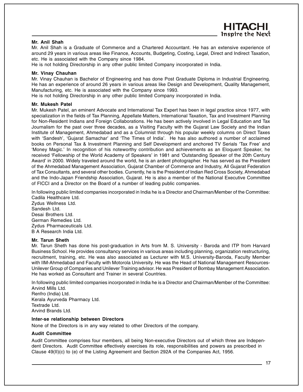### HITACHI **Inspire the Next**

#### **Mr. Anil Shah**

Mr. Anil Shah is a Graduate of Commerce and a Chartered Accountant. He has an extensive experience of around 29 years in various areas like Finance, Accounts, Budgeting, Costing, Legal, Direct and Indirect Taxation, etc. He is associated with the Company since 1984.

He is not holding Directorship in any other public limited Company incorporated in India.

#### **Mr. Vinay Chauhan**

Mr. Vinay Chauhan is Bachelor of Engineering and has done Post Graduate Diploma in Industrial Engineering. He has an experience of around 26 years in various areas like Design and Development, Quality Management, Manufacturing, etc. He is associated with the Company since 1993.

He is not holding Directorship in any other public limited Company incorporated in India.

#### **Mr. Mukesh Patel**

Mr. Mukesh Patel, an eminent Advocate and International Tax Expert has been in legal practice since 1977, with specialization in the fields of Tax Planning, Appellate Matters, International Taxation, Tax and Investment Planning for Non-Resident Indians and Foreign Collaborations. He has been actively involved in Legal Education and Tax Journalism for the past over three decades, as a Visiting Faculty with the Gujarat Law Society and the Indian Institute of Management, Ahmedabad and as a Columnist through his popular weekly columns on Direct Taxes with 'Sandesh', 'Gujarat Samachar' and 'The Times of India'. He has also authored a number of acclaimed books on Personal Tax & Investment Planning and Self Development and anchored TV Serials 'Tax Free' and 'Money Magic.' In recognition of his noteworthy contribution and achievements as an Eloquent Speaker, he received 'Fellowship of the World Academy of Speakers' in 1981 and 'Outstanding Speaker of the 20th Century Award' in 2000. Widely traveled around the world, he is an ardent photographer. He has served as the President of the Ahmedabad Management Association, Gujarat Chamber of Commerce and Industry, All Gujarat Federation of Tax Consultants, and several other bodies. Currently, he is the President of Indian Red Cross Society, Ahmedabad and the Indo-Japan Friendship Association, Gujarat. He is also a member of the National Executive Committee of FICCI and a Director on the Board of a number of leading public companies.

In following public limited companies incorporated in India he is a Director and Chairman/Member of the Committee: Cadila Healthcare Ltd.

Zydus Wellness Ltd. Sandesh Ltd. Desai Brothers Ltd. German Remedies Ltd. Zydus Pharmaceuticals Ltd. B A Research India Ltd.

#### **Mr. Tarun Sheth**

Mr. Tarun Sheth has done his post-graduation in Arts from M. S. University - Baroda and ITP from Harvard Business School. He provides consultancy services in various areas including planning, organization restructuring, recruitment, training, etc. He was also associated as Lecturer with M.S. University-Baroda, Faculty Member with IIM-Ahmedabad and Faculty with Motorola University. He was the Head of National Management Resources-Unilever Group of Companies and Unilever Training advisor. He was President of Bombay Management Association. He has worked as Consultant and Trainer in several Countries.

In following public limited companies incorporated in India he is a Director and Chairman/Member of the Committee: Arvind Mills Ltd. Renfro (India) Ltd. Kerala Ayurveda Pharmacy Ltd. Textrade Ltd. Arvind Brands Ltd.

#### **Inter-se relationship between Directors**

None of the Directors is in any way related to other Directors of the company.

#### **Audit Committee**

Audit Committee comprises four members, all being Non-executive Directors out of which three are Independent Directors. Audit Committee effectively exercises its role, responsibilities and powers as prescribed in Clause 49(II)(c) to (e) of the Listing Agreement and Section 292A of the Companies Act, 1956.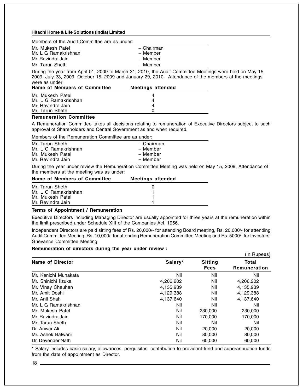| Members of the Audit Committee are as under: |  |  |  |  |
|----------------------------------------------|--|--|--|--|
|----------------------------------------------|--|--|--|--|

| Mr. Mukesh Patel<br>Mr. L G Ramakrishnan | - Chairman<br>- Member |
|------------------------------------------|------------------------|
| Mr. Ravindra Jain                        | - Member               |
| Mr. Tarun Sheth                          | - Member               |

During the year from April 01, 2009 to March 31, 2010, the Audit Committee Meetings were held on May 15, 2009, July 23, 2009, October 15, 2009 and January 29, 2010. Attendance of the members at the meetings were as under:

| Name of Members of Committee | <b>Meetings attended</b> |  |
|------------------------------|--------------------------|--|
| Mr. Mukesh Patel             | 4                        |  |
| Mr. L G Ramakrisnhan         | 4                        |  |
| Mr. Ravindra Jain            | 4                        |  |
| Mr. Tarun Sheth              |                          |  |

#### **Remuneration Committee**

A Remuneration Committee takes all decisions relating to remuneration of Executive Directors subject to such approval of Shareholders and Central Government as and when required.

#### Members of the Remuneration Committee are as under:

| Mr. Tarun Sheth      | - Chairman |
|----------------------|------------|
| Mr. L G Ramakrishnan | – Member   |
| Mr. Mukesh Patel     | – Member   |
| Mr. Ravindra Jain    | – Member   |

During the year under review the Remuneration Committee Meeting was held on May 15, 2009. Attendance of the members at the meeting was as under:

| Name of Members of Committee | <b>Meetings attended</b> |  |
|------------------------------|--------------------------|--|
| Mr. Tarun Sheth              |                          |  |
| Mr. L G Ramakrisnhan         |                          |  |
| Mr. Mukesh Patel             |                          |  |
| Mr. Ravindra Jain            |                          |  |

#### **Terms of Appointment / Remuneration**

Executive Directors including Managing Director are usually appointed for three years at the remuneration within the limit prescribed under Schedule XIII of the Companies Act, 1956.

Independent Directors are paid sitting fees of Rs. 20,000/- for attending Board meeting, Rs. 20,000/- for attending Audit Committee Meeting, Rs. 10,000/- for attending Remuneration Committee Meeting and Rs. 5000/- for Investors' Grievance Committee Meeting.

#### **Remuneration of directors during the year under review :**

|                      |           |                               | (in Rupees)           |
|----------------------|-----------|-------------------------------|-----------------------|
| Name of Director     | Salary*   | <b>Sitting</b><br><b>Fees</b> | Total<br>Remuneration |
| Mr. Kenichi Munakata | Nil       | Nil                           | Nil                   |
| Mr. Shinichi lizuka  | 4,206,202 | Nil                           | 4,206,202             |
| Mr. Vinay Chauhan    | 4,135,939 | Nil                           | 4,135,939             |
| Mr. Amit Doshi       | 4,129,388 | Nil                           | 4,129,388             |
| Mr. Anil Shah        | 4,137,640 | Nil                           | 4,137,640             |
| Mr. L G Ramakrishnan | Nil       | Nil                           | Nil                   |
| Mr. Mukesh Patel     | Nil       | 230,000                       | 230,000               |
| Mr. Ravindra Jain    | Nil       | 170,000                       | 170,000               |
| Mr. Tarun Sheth      | Nil       | Nil                           | Nil                   |
| Dr. Anwar Ali        | Nil       | 20,000                        | 20,000                |
| Mr. Ashok Balwani    | Nil       | 80,000                        | 80,000                |
| Dr. Devender Nath    | Nil       | 60,000                        | 60,000                |

\* Salary includes basic salary, allowances, perquisites, contribution to provident fund and superannuation funds from the date of appointment as Director.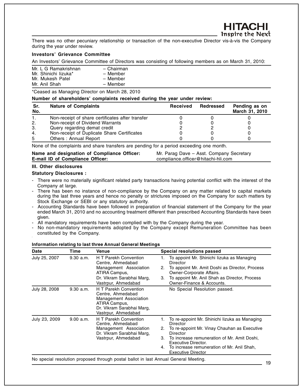There was no other pecuniary relationship or transaction of the non-executive Director vis-à-vis the Company during the year under review.

#### **Investors' Grievance Committee**

An Investors' Grievance Committee of Directors was consisting of following members as on March 31, 2010:

| Mr. L G Ramakrishnan | - Chairman |
|----------------------|------------|
| Mr. Shinichi lizuka* | - Member   |
| Mr. Mukesh Patel     | - Member   |
| Mr. Anil Shah        | - Member   |

\*Ceased as Managing Director on March 28, 2010

#### **Number of shareholders' complaints received during the year under review:**

| Sr.<br>No. | <b>Nature of Complaints</b>                      | Received | Redressed | Pending as on<br>March 31, 2010 |
|------------|--------------------------------------------------|----------|-----------|---------------------------------|
|            | Non-receipt of share certificates after transfer |          |           |                                 |
| 2.         | Non-receipt of Dividend Warrants                 |          |           |                                 |
| 3.         | Query regarding demat credit                     |          |           |                                 |
| 4.         | Non-receipt of Duplicate Share Certificates      |          |           |                                 |
| 5          | Others: Annual Report                            |          |           |                                 |

None of the complaints and share transfers are pending for a period exceeding one month.

| Name and designation of Compliance Officer: | Mr. Parag Dave - Asst. Company Secretary |
|---------------------------------------------|------------------------------------------|
| <b>E-mail ID of Compliance Officer:</b>     | compliance.officer@hitachi-hli.com       |

#### **III. Other disclosures**

#### **Statutory Disclosures :**

- There were no materially significant related party transactions having potential conflict with the interest of the Company at large.
- There has been no instance of non-compliance by the Company on any matter related to capital markets during the last three years and hence no penalty or strictures imposed on the Company for such matters by Stock Exchange or SEBI or any statutory authority.
- Accounting Standards have been followed in preparation of financial statement of the Company for the year ended March 31, 2010 and no accounting treatment different than prescribed Accounting Standards have been given.
- All mandatory requirements have been complied with by the Company during the year.
- No non-mandatory requirements adopted by the Company except Remuneration Committee has been constituted by the Company.

| <b>Date</b>   | Time      | Venue                                                                                                                                     |                                              | <b>Special resolutions passed</b>                                                                                                                                                                                                              |
|---------------|-----------|-------------------------------------------------------------------------------------------------------------------------------------------|----------------------------------------------|------------------------------------------------------------------------------------------------------------------------------------------------------------------------------------------------------------------------------------------------|
| July 25, 2007 | 9.30 a.m. | H T Parekh Convention<br>Centre, Ahmedabad<br>Management Association<br>ATIRA Campus,<br>Dr. Vikram Sarabhai Marg,<br>Vastrpur, Ahmedabad | 1.<br>Director<br>2.<br>3.                   | To appoint Mr. Shinichi lizuka as Managing<br>To appoint Mr. Amit Doshi as Director, Process<br>Owner-Corporate Affairs.<br>To appoint Mr. Anil Shah as Director, Process<br>Owner-Finance & Accounts.                                         |
| July 28, 2008 | 9.30 a.m. | H T Parekh Convention<br>Centre, Ahmedabad<br>Management Association<br>ATIRA Campus,<br>Dr. Vikram Sarabhai Marg,<br>Vastrpur, Ahmedabad |                                              | No Special Resolution passed.                                                                                                                                                                                                                  |
| July 23, 2009 | 9.00 a.m. | <b>H</b> T Parekh Convention<br>Centre, Ahmedabad<br>Management Association<br>Dr. Vikram Sarabhai Marg,<br>Vastrpur, Ahmedabad           | 1.<br>Director<br>2.<br>Director<br>3.<br>4. | To re-appoint Mr. Shinichi lizuka as Managing<br>To re-appoint Mr. Vinay Chauhan as Executive<br>To increase remuneration of Mr. Amit Doshi,<br>Executive Director.<br>To increase remuneration of Mr. Anil Shah,<br><b>Executive Director</b> |
|               |           | No special resolution proposed through postal ballot in last Annual General Meeting.                                                      |                                              |                                                                                                                                                                                                                                                |

#### **Information relating to last three Annual General Meetings**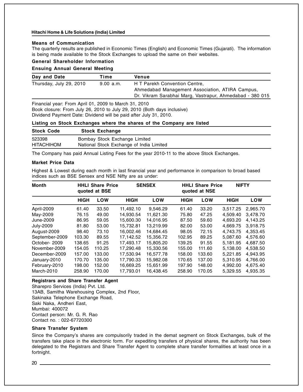#### **Means of Communication**

The quarterly results are published in Economic Times (English) and Economic Times (Gujarati). The information is being made available to the Stock Exchanges to upload the same on their websites.

#### **General Shareholder Information**

#### **Ensuing Annual General Meeting**

| Day and Date                                                                                                                                                                                          | Time      | Venue                                                    |  |
|-------------------------------------------------------------------------------------------------------------------------------------------------------------------------------------------------------|-----------|----------------------------------------------------------|--|
| Thursday, July 29, 2010                                                                                                                                                                               | 9.00 a.m. | H T Parekh Convention Centre,                            |  |
|                                                                                                                                                                                                       |           | Ahmedabad Management Association, ATIRA Campus,          |  |
|                                                                                                                                                                                                       |           | Dr. Vikram Sarabhai Marg, Vastrapur, Ahmedabad - 380 015 |  |
| Financial year: From April 01, 2009 to March 31, 2010<br>Book closure: From July 26, 2010 to July 29, 2010 (Both days inclusive)<br>Dividend Payment Date: Dividend will be paid after July 31, 2010. |           |                                                          |  |

#### **Listing on Stock Exchanges where the shares of the Company are listed**

| <b>Stock Code</b> | <b>Stock Exchange</b>                    |
|-------------------|------------------------------------------|
| 523398            | Bombay Stock Exchange Limited            |
| <b>HITACHIHOM</b> | National Stock Exchange of India Limited |

The Company has paid Annual Listing Fees for the year 2010-11 to the above Stock Exchanges.

#### **Market Price Data**

Highest & Lowest during each month in last financial year and performance in comparison to broad based indices such as BSE Sensex and NSE Nifty are as under:

| <b>Month</b>     |             | <b>HHLI Share Price</b><br>quoted at BSE |             | <b>SENSEX</b> |             | <b>HHLI Share Price</b><br>quoted at NSE | <b>NIFTY</b> |            |
|------------------|-------------|------------------------------------------|-------------|---------------|-------------|------------------------------------------|--------------|------------|
|                  | <b>HIGH</b> | LOW                                      | <b>HIGH</b> | LOW           | <b>HIGH</b> | LOW                                      | <b>HIGH</b>  | <b>LOW</b> |
| April-2009       | 61.40       | 33.50                                    | 11,492.10   | 9,546.29      | 61.40       | 33.20                                    | 3.517.25     | 2,965.70   |
| May-2009         | 76.15       | 49.00                                    | 14.930.54   | 11,621.30     | 75.80       | 47.25                                    | 4.509.40     | 3.478.70   |
| June-2009        | 86.95       | 59.05                                    | 15,600.30   | 14.016.95     | 87.50       | 59.60                                    | 4,693.20     | 4,143.25   |
| <b>July-2009</b> | 81.80       | 53.00                                    | 15.732.81   | 13.219.99     | 82.00       | 53.00                                    | 4.669.75     | 3.918.75   |
| August-2009      | 98.40       | 73.10                                    | 16.002.46   | 14.684.45     | 98.05       | 72.15                                    | 4.743.75     | 4,353.45   |
| September-2009   | 103.30      | 89.55                                    | 17,142.52   | 15,356.72     | 102.95      | 89.25                                    | 5.087.60     | 4,576.60   |
| October-2009     | 138.65      | 91.25                                    | 17.493.17   | 15.805.20     | 139.25      | 91.55                                    | 5.181.95     | 4.687.50   |
| November-2009    | 154.05      | 110.25                                   | 17,290.48   | 15,330.56     | 155.00      | 111.60                                   | 5,138.00     | 4,538.50   |
| December-2009    | 157.00      | 133.00                                   | 17,530.94   | 16.577.78     | 158.00      | 133.60                                   | 5.221.85     | 4,943.95   |
| January-2010     | 170.70      | 135.00                                   | 17.790.33   | 15.982.08     | 170.65      | 137.00                                   | 5.310.95     | 4,766.00   |
| February-2010    | 198.00      | 152.00                                   | 16,669.25   | 15,651.99     | 197.90      | 148.00                                   | 4,992.00     | 4,675.40   |
| March-2010       | 258.90      | 170.00                                   | 17.793.01   | 16.438.45     | 258.90      | 170.05                                   | 5,329.55     | 4,935.35   |

#### **Registrars and Share Transfer Agent**

Sharepro Services (India) Pvt. Ltd. 13AB, Samitha Warehousing Complex, 2nd Floor, Sakinaka Telephone Exchange Road, Saki Naka, Andheri East, Mumbai: 400072 Contact person: Mr. G. R. Rao Contact no. : 022-67720300

#### **Share Transfer System**

Since the Company's shares are compulsorily traded in the demat segment on Stock Exchanges, bulk of the transfers take place in the electronic form. For expediting transfers of physical shares, the authority has been delegated to the Registrars and Share Transfer Agent to complete share transfer formalities at least once in a fortnight.

20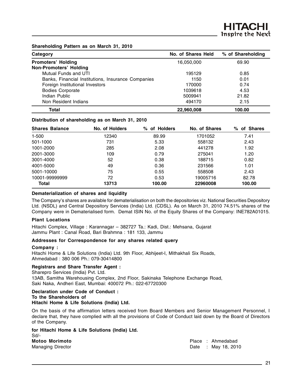#### **Shareholding Pattern as on March 31, 2010**

| Category                                           | No. of Shares Held | % of Shareholding |
|----------------------------------------------------|--------------------|-------------------|
| <b>Promoters' Holding</b>                          | 16,050,000         | 69.90             |
| <b>Non-Promoters' Holding</b>                      |                    |                   |
| Mutual Funds and UTI                               | 195129             | 0.85              |
| Banks, Financial Institutions, Insurance Companies | 1150               | 0.01              |
| Foreign Institutional Investors                    | 170000             | 0.74              |
| <b>Bodies Corporate</b>                            | 1039618            | 4.53              |
| Indian Public                                      | 5009941            | 21.82             |
| Non Resident Indians                               | 494170             | 2.15              |
| Total                                              | 22,960,008         | 100.00            |

#### **Distribution of shareholding as on March 31, 2010**

| <b>Shares Balance</b> | No. of Holders | % of Holders | No. of Shares | of Shares<br>% |
|-----------------------|----------------|--------------|---------------|----------------|
| $1 - 500$             | 12340          | 89.99        | 1701052       | 7.41           |
| 501-1000              | 731            | 5.33         | 558132        | 2.43           |
| 1001-2000             | 285            | 2.08         | 441278        | 1.92           |
| 2001-3000             | 109            | 0.79         | 275041        | 1.20           |
| 3001-4000             | 52             | 0.38         | 188715        | 0.82           |
| 4001-5000             | 49             | 0.36         | 231566        | 1.01           |
| 5001-10000            | 75             | 0.55         | 558508        | 2.43           |
| 10001-99999999        | 72             | 0.53         | 19005716      | 82.78          |
| <b>Total</b>          | 13713          | 100.00       | 22960008      | 100.00         |

#### **Dematerialization of shares and liquidity**

The Company's shares are available for dematerialisation on both the depositories viz. National Securities Depository Ltd. (NSDL) and Central Depository Services (India) Ltd. (CDSL). As on March 31, 2010 74.51% shares of the Company were in Dematerialised form. Demat ISIN No. of the Equity Shares of the Company: INE782A01015.

#### **Plant Locations**

Hitachi Complex, Village : Karannagar – 382727 Ta.: Kadi, Dist.: Mehsana, Gujarat Jammu Plant : Canal Road, Bari Brahmna : 181 133, Jammu

#### **Addresses for Correspondence for any shares related query**

#### **Company :**

Hitachi Home & Life Solutions (India) Ltd. 9th Floor, Abhijeet-I, Mithakhali Six Roads, Ahmedabad : 380 006 Ph.: 079-30414800

#### **Registrars and Share Transfer Agent :**

Sharepro Services (India) Pvt. Ltd. 13AB, Samitha Warehousing Complex, 2nd Floor, Sakinaka Telephone Exchange Road, Saki Naka, Andheri East, Mumbai: 400072 Ph.: 022-67720300

#### **Declaration under Code of Conduct : To the Shareholders of Hitachi Home & Life Solutions (India) Ltd.**

On the basis of the affirmation letters received from Board Members and Senior Management Personnel, I declare that, they have complied with all the provisions of Code of Conduct laid down by the Board of Directors of the Company.

|      |                       |  | for Hitachi Home & Life Solutions (India) Ltd. |  |
|------|-----------------------|--|------------------------------------------------|--|
| Sd/- |                       |  |                                                |  |
|      | <b>Motoo Morimoto</b> |  |                                                |  |

Place : Ahmedabad Managing Director **Date : May 18, 2010** Date : May 18, 2010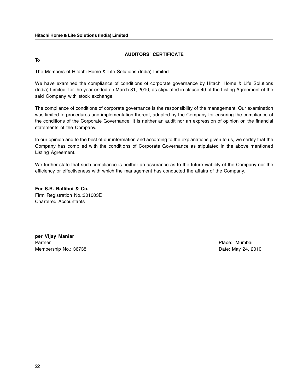#### **AUDITORS' CERTIFICATE**

To

The Members of Hitachi Home & Life Solutions (India) Limited

We have examined the compliance of conditions of corporate governance by Hitachi Home & Life Solutions (India) Limited, for the year ended on March 31, 2010, as stipulated in clause 49 of the Listing Agreement of the said Company with stock exchange.

The compliance of conditions of corporate governance is the responsibility of the management. Our examination was limited to procedures and implementation thereof, adopted by the Company for ensuring the compliance of the conditions of the Corporate Governance. It is neither an audit nor an expression of opinion on the financial statements of the Company.

In our opinion and to the best of our information and according to the explanations given to us, we certify that the Company has complied with the conditions of Corporate Governance as stipulated in the above mentioned Listing Agreement.

We further state that such compliance is neither an assurance as to the future viability of the Company nor the efficiency or effectiveness with which the management has conducted the affairs of the Company.

**For S.R. Batliboi & Co.** Firm Registration No.:301003E Chartered Accountants

**per Vijay Maniar** Partner **Partner** Place: Mumbai Membership No.: 36738 **Date:** Membership No.: 36738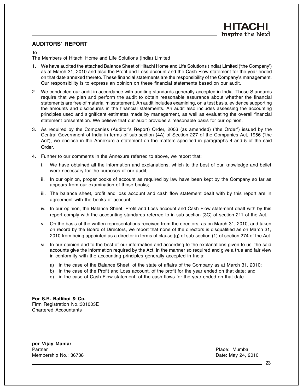#### **AUDITORS' REPORT**

#### To

The Members of Hitachi Home and Life Solutions (India) Limited

- 1. We have audited the attached Balance Sheet of Hitachi Home and Life Solutions (India) Limited ('the Company') as at March 31, 2010 and also the Profit and Loss account and the Cash Flow statement for the year ended on that date annexed thereto. These financial statements are the responsibility of the Company's management. Our responsibility is to express an opinion on these financial statements based on our audit.
- 2. We conducted our audit in accordance with auditing standards generally accepted in India. Those Standards require that we plan and perform the audit to obtain reasonable assurance about whether the financial statements are free of material misstatement. An audit includes examining, on a test basis, evidence supporting the amounts and disclosures in the financial statements. An audit also includes assessing the accounting principles used and significant estimates made by management, as well as evaluating the overall financial statement presentation. We believe that our audit provides a reasonable basis for our opinion.
- 3. As required by the Companies (Auditor's Report) Order, 2003 (as amended) ('the Order') issued by the Central Government of India in terms of sub-section (4A) of Section 227 of the Companies Act, 1956 ('the Act'), we enclose in the Annexure a statement on the matters specified in paragraphs 4 and 5 of the said Order.
- 4. Further to our comments in the Annexure referred to above, we report that:
	- i. We have obtained all the information and explanations, which to the best of our knowledge and belief were necessary for the purposes of our audit;
	- ii. In our opinion, proper books of account as required by law have been kept by the Company so far as appears from our examination of those books;
	- iii. The balance sheet, profit and loss account and cash flow statement dealt with by this report are in agreement with the books of account;
	- iv. In our opinion, the Balance Sheet, Profit and Loss account and Cash Flow statement dealt with by this report comply with the accounting standards referred to in sub-section (3C) of section 211 of the Act.
	- v. On the basis of the written representations received from the directors, as on March 31, 2010, and taken on record by the Board of Directors, we report that none of the directors is disqualified as on March 31, 2010 from being appointed as a director in terms of clause (g) of sub-section (1) of section 274 of the Act.
	- vi. In our opinion and to the best of our information and according to the explanations given to us, the said accounts give the information required by the Act, in the manner so required and give a true and fair view in conformity with the accounting principles generally accepted in India;
		- a) in the case of the Balance Sheet, of the state of affairs of the Company as at March 31, 2010;
		- b) in the case of the Profit and Loss account, of the profit for the year ended on that date; and
		- c) in the case of Cash Flow statement, of the cash flows for the year ended on that date.

**For S.R. Batliboi & Co.** Firm Registration No.:301003E Chartered Accountants

**per Vijay Maniar** Partner **Partner Place:** Mumbai Membership No.: 36738 **Date: May 24, 2010** Date: May 24, 2010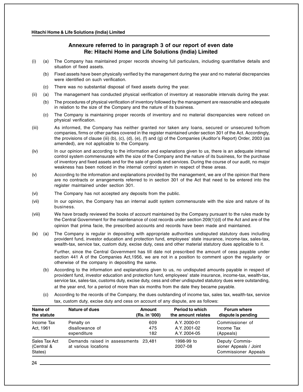#### **Annexure referred to in paragraph 3 of our report of even date Re: Hitachi Home and Life Solutions (India) Limited**

- (i) (a) The Company has maintained proper records showing full particulars, including quantitative details and situation of fixed assets.
	- (b) Fixed assets have been physically verified by the management during the year and no material discrepancies were identified on such verification.
	- (c) There was no substantial disposal of fixed assets during the year.
- (ii) (a) The management has conducted physical verification of inventory at reasonable intervals during the year.
	- (b) The procedures of physical verification of inventory followed by the management are reasonable and adequate in relation to the size of the Company and the nature of its business.
	- (c) The Company is maintaining proper records of inventory and no material discrepancies were noticed on physical verification.
- (iii) As informed, the Company has neither granted nor taken any loans, secured or unsecured to/from companies, firms or other parties covered in the register maintained under section 301 of the Act. Accordingly, the provisions of clause (iii) (b), (c), (d), (e), (f) and (g) of the Companies (Auditor's Report) Order, 2003 (as amended), are not applicable to the Company.
- (iv) In our opinion and according to the information and explanations given to us, there is an adequate internal control system commensurate with the size of the Company and the nature of its business, for the purchase of inventory and fixed assets and for the sale of goods and services. During the course of our audit, no major weakness has been noticed in the internal control system in respect of these areas.
- (v) According to the information and explanations provided by the management, we are of the opinion that there are no contracts or arrangements referred to in section 301 of the Act that need to be entered into the register maintained under section 301.
- (vi) The Company has not accepted any deposits from the public.
- (vii) In our opinion, the Company has an internal audit system commensurate with the size and nature of its business.
- (viii) We have broadly reviewed the books of account maintained by the Company pursuant to the rules made by the Central Government for the maintenance of cost records under section 209(1)(d) of the Act and are of the opinion that prima facie, the prescribed accounts and records have been made and maintained.
- (ix) (a) The Company is regular in depositing with appropriate authorities undisputed statutory dues including provident fund, investor education and protection fund, employees' state insurance, income-tax, sales-tax, wealth-tax, service tax, custom duty, excise duty, cess and other material statutory dues applicable to it.

Further, since the Central Government has till date not prescribed the amount of cess payable under section 441 A of the Companies Act,1956, we are not in a position to comment upon the regularity or otherwise of the company in depositing the same.

- (b) According to the information and explanations given to us, no undisputed amounts payable in respect of provident fund, investor education and protection fund, employees' state insurance, income-tax, wealth-tax, service tax, sales-tax, customs duty, excise duty, cess and other undisputed statutory dues were outstanding, at the year end, for a period of more than six months from the date they became payable.
- (c) According to the records of the Company, the dues outstanding of income tax, sales tax, wealth-tax, service tax, custom duty, excise duty and cess on account of any dispute, are as follows:

| Name of<br>the statute                 | Nature of dues                                               | Amount<br>(Rs. in '000) | <b>Period to which</b><br>the amount relates | <b>Forum where</b><br>dispute is pending                                |
|----------------------------------------|--------------------------------------------------------------|-------------------------|----------------------------------------------|-------------------------------------------------------------------------|
| Income Tax<br>Act, 1961                | Penalty on<br>disallowance of<br>expenditure                 | 609<br>475<br>182       | A.Y. 2000-01<br>A.Y. 2001-02<br>A.Y. 2004-05 | Commissioner of<br>Income Tax<br>(Appeals)                              |
| Sales Tax Act<br>(Central &<br>States) | Demands raised in assessments 23,481<br>at various locations |                         | 1998-99 to<br>2007-08                        | Deputy Commis-<br>sioner Appeals / Joint<br><b>Commissioner Appeals</b> |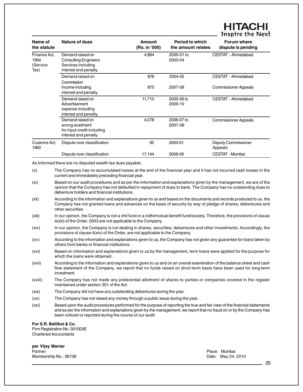### **HHACI Inspire the Next**

| Name of<br>the statute                   | <b>Nature of dues</b>                                                                          | <b>Amount</b><br>(Rs. in '000) | <b>Period to which</b><br>the amount relates | <b>Forum where</b><br>dispute is pending |
|------------------------------------------|------------------------------------------------------------------------------------------------|--------------------------------|----------------------------------------------|------------------------------------------|
| Finance Act.<br>1994<br>(Service<br>Tax) | Demand raised on<br><b>Consulting Engineers</b><br>Services including<br>interest and penalty. | 4,864                          | 2000-01 to<br>2003-04                        | CESTAT - Ahmedabad                       |
|                                          | Demand raised on<br>Commission                                                                 | 876                            | 2004-05                                      | CESTAT - Ahmedabad                       |
|                                          | Income including<br>interest and penalty.                                                      | 875                            | 2007-08                                      | <b>Commissioner Appeals</b>              |
|                                          | Demand raised on<br>Advertisement<br>expense including<br>interest and penalty.                | 11,710                         | 2005-06 to<br>2009-10                        | CESTAT - Ahmedabad                       |
|                                          | Demand raised on<br>wrong availment<br>for input credit including<br>interest and penalty.     | 4,078                          | 2006-07 to<br>2007-08                        | <b>Commissioner Appeals</b>              |
| Customs Act.<br>1962                     | Dispute over classification                                                                    | 92                             | 2000-01                                      | Deputy Commissioner<br>Appeals           |
|                                          | Dispute over classification                                                                    | 17,144                         | 2008-09                                      | CESTAT - Mumbai                          |

As Informed there are no disputed wealth tax dues payable.

- (xi) Based on our audit procedures and as per the information and explanations given by the management, we are of the opinion that the Company has not defaulted in repayment of dues to bank. The Company has no outstanding dues to debenture holders and financial institutions.
- (xii) According to the information and explanations given to us and based on the documents and records produced to us, the Company has not granted loans and advances on the basis of security by way of pledge of shares, debentures and other securities.
- (xiii) In our opinion, the Company is not a chit fund or a nidhi/mutual benefit fund/society. Therefore, the provisions of clause 4(xiii) of the Order, 2003 are not applicable to the Company.
- (xiv) In our opinion, the Company is not dealing in shares, securities, debentures and other investments. Accordingly, the provisions of clause 4(xiv) of the Order, are not applicable to the Company.
- (xv) According to the information and explanations given to us, the Company has not given any guarantee for loans taken by others from banks or financial institutions.
- (xvi) Based on information and explanations given to us by the management, term loans were applied for the purpose for which the loans were obtained.
- (xvii) According to the information and explanations given to us and on an overall examination of the balance sheet and cash flow statement of the Company, we report that no funds raised on short-term basis have been used for long-term investment.
- (xviii) The Company has not made any preferential allotment of shares to parties or companies covered in the register maintained under section 301 of the Act.
- (xix) The Company did not have any outstanding debentures during the year.
- (xx) The Company has not raised any money through a public issue during the year.
- (xxi) Based upon the audit procedures performed for the purpose of reporting the true and fair view of the financial statements and as per the information and explanations given by the management, we report that no fraud on or by the Company has been noticed or reported during the course of our audit.

#### **For S.R. Batliboi & Co.**

Firm Registration No.:301003E Chartered Accountants

**per Vijay Maniar** Partner **Partner Place:** Mumbai Membership No.: 36738 **Date: May 24, 2010** 

<sup>(</sup>x) The Company has no accumulated losses at the end of the financial year and it has not incurred cash losses in the current and immediately preceding financial year.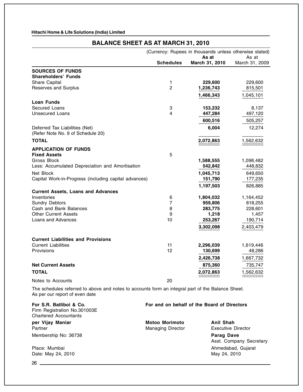## **BALANCE SHEET AS AT MARCH 31, 2010**

|                                                                                                                                     |                  | (Currency: Rupees in thousands unless otherwise stated) |                         |
|-------------------------------------------------------------------------------------------------------------------------------------|------------------|---------------------------------------------------------|-------------------------|
|                                                                                                                                     | <b>Schedules</b> | As at<br>March 31, 2010                                 | As at<br>March 31, 2009 |
| <b>SOURCES OF FUNDS</b>                                                                                                             |                  |                                                         |                         |
| <b>Shareholders' Funds</b>                                                                                                          |                  |                                                         |                         |
| Share Capital                                                                                                                       | 1                | 229,600                                                 | 229,600                 |
| Reserves and Surplus                                                                                                                | $\overline{c}$   | 1,236,743                                               | 815,501                 |
|                                                                                                                                     |                  | 1,466,343                                               | 1,045,101               |
| <b>Loan Funds</b>                                                                                                                   |                  |                                                         |                         |
| Secured Loans                                                                                                                       | 3                | 153,232                                                 | 8,137                   |
| <b>Unsecured Loans</b>                                                                                                              | 4                | 447,284                                                 | 497,120                 |
|                                                                                                                                     |                  | 600,516                                                 | 505,257                 |
| Deferred Tax Liabilities (Net)                                                                                                      |                  | 6,004                                                   | 12,274                  |
| (Refer Note No. 9 of Schedule 20)                                                                                                   |                  |                                                         |                         |
|                                                                                                                                     |                  |                                                         |                         |
| <b>TOTAL</b>                                                                                                                        |                  | 2,072,863                                               | 1,562,632               |
| <b>APPLICATION OF FUNDS</b>                                                                                                         |                  |                                                         |                         |
| <b>Fixed Assets</b>                                                                                                                 | 5                |                                                         |                         |
| Gross Block                                                                                                                         |                  | 1,588,555                                               | 1,098,482               |
| Less: Accumulated Depreciation and Amortisation                                                                                     |                  | 542,842                                                 | 448,832                 |
| Net Block                                                                                                                           |                  | 1,045,713                                               | 649,650                 |
| Capital Work-in-Progress (including capital advances)                                                                               |                  | 151,790                                                 | 177,235                 |
|                                                                                                                                     |                  | 1,197,503                                               | 826,885                 |
| <b>Current Assets, Loans and Advances</b>                                                                                           |                  |                                                         |                         |
| Inventories                                                                                                                         | 6                | 1,804,032                                               | 1,164,452               |
| <b>Sundry Debtors</b>                                                                                                               | 7                | 959,806                                                 | 818,255                 |
| Cash and Bank Balances                                                                                                              | 8                | 283,775                                                 | 228,601                 |
| <b>Other Current Assets</b>                                                                                                         | 9                | 1,218                                                   | 1,457                   |
| Loans and Advances                                                                                                                  | 10               | 253,267                                                 | 190,714                 |
|                                                                                                                                     |                  | 3,302,098                                               | 2,403,479               |
|                                                                                                                                     |                  |                                                         |                         |
| <b>Current Liabilities and Provisions</b>                                                                                           |                  |                                                         |                         |
| <b>Current Liabilities</b>                                                                                                          | 11               | 2,296,039                                               | 1,619,446               |
| Provisions                                                                                                                          | 12               | 130,699                                                 | 48,286                  |
|                                                                                                                                     |                  | 2,426,738                                               | 1,667,732               |
| <b>Net Current Assets</b>                                                                                                           |                  | 875,360                                                 | 735,747                 |
| <b>TOTAL</b>                                                                                                                        |                  | 2,072,863                                               | 1,562,632               |
|                                                                                                                                     |                  |                                                         |                         |
| Notes to Accounts                                                                                                                   | 20               |                                                         |                         |
| The schedules referred to above and notes to accounts form an integral part of the Balance Sheet.<br>As per our report of even date |                  |                                                         |                         |
| For S.R. Batliboi & Co.<br>Eirm Registration No 301003E                                                                             |                  | For and on behalf of the Board of Directors             |                         |

Firm Registration No.301003E Chartered Accountants **per Vijay Maniar Motoo Morimoto Anil Shah** Partner **Managing Director** Executive Director Membership No: 36738 **Parag Dave** Asst. Company Secretary Place: Mumbai **Ahmedabad, Gujarat** Date: May 24, 2010 May 24, 2010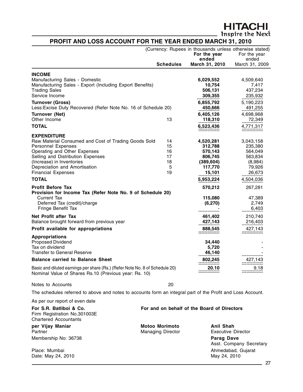**HITACHI**<br>Inspire the Next

#### **PROFIT AND LOSS ACCOUNT FOR THE YEAR ENDED MARCH 31, 2010**

|                                                                                                                                                                                                                                                                         |                                                   |                                       | (Currency: Rupees in thousands unless otherwise stated)<br>For the year<br>ended | For the year<br>ended                                                     |
|-------------------------------------------------------------------------------------------------------------------------------------------------------------------------------------------------------------------------------------------------------------------------|---------------------------------------------------|---------------------------------------|----------------------------------------------------------------------------------|---------------------------------------------------------------------------|
|                                                                                                                                                                                                                                                                         |                                                   | <b>Schedules</b>                      | March 31, 2010                                                                   | March 31, 2009                                                            |
| <b>INCOME</b><br>Manufacturing Sales - Domestic<br>Manufacturing Sales - Export (Including Export Benefits)<br><b>Trading Sales</b><br>Service Income                                                                                                                   |                                                   |                                       | 6,029,552<br>10,754<br>506,131<br>309,355                                        | 4,509,640<br>7,417<br>437,234<br>235,932                                  |
| <b>Turnover (Gross)</b><br>Less: Excise Duty Recovered (Refer Note No. 16 of Schedule 20)                                                                                                                                                                               |                                                   |                                       | 6,855,792<br>450,666                                                             | 5,190,223<br>491,255                                                      |
| Turnover (Net)<br>Other Income<br><b>TOTAL</b>                                                                                                                                                                                                                          |                                                   | 13                                    | 6,405,126<br>118,310<br>6,523,436                                                | 4,698,968<br>72,349<br>4,771,317                                          |
| <b>EXPENDITURE</b><br>Raw Material Consumed and Cost of Trading Goods Sold<br><b>Personnel Expenses</b><br>Operating and Other Expenses<br>Selling and Distribution Expenses<br>(Increase) in Inventories<br>Depreciation and Amortisation<br><b>Financial Expenses</b> |                                                   | 14<br>15<br>16<br>17<br>18<br>5<br>19 | 4,520,281<br>312,788<br>570,143<br>806,745<br>(389, 604)<br>117,770<br>15,101    | 3,043,158<br>235,380<br>564,049<br>563,834<br>(8,984)<br>79,926<br>26,673 |
| <b>TOTAL</b>                                                                                                                                                                                                                                                            |                                                   |                                       | 5,953,224                                                                        | 4,504,036                                                                 |
| <b>Profit Before Tax</b><br>Provision for Income Tax (Refer Note No. 9 of Schedule 20)<br>Current Tax<br>Deferred Tax (credit)/charge<br>Fringe Benefit Tax                                                                                                             |                                                   |                                       | 570,212<br>115,080<br>(6,270)                                                    | 267,281<br>47,389<br>2,749<br>6,403                                       |
| Net Profit after Tax<br>Balance brought forward from previous year<br>Profit available for appropriations                                                                                                                                                               |                                                   |                                       | 461,402<br>427,143<br>888,545                                                    | 210,740<br>216,403<br>427,143<br>===============                          |
| <b>Appropriations</b><br><b>Proposed Dividend</b><br>Tax on dividend<br><b>Transfer to General Reserve</b><br><b>Balance carried to Balance Sheet</b><br>Basic and diluted earnings per share (Rs.) (Refer Note No. 8 of Schedule 20)                                   |                                                   |                                       | 34,440<br>5,720<br>46,140<br>802,245<br>20.10                                    | 427,143<br>:::::::::::::<br>9.18                                          |
| Nominal Value of Shares Rs.10 (Previous year: Rs. 10)                                                                                                                                                                                                                   |                                                   |                                       |                                                                                  |                                                                           |
| Notes to Accounts                                                                                                                                                                                                                                                       |                                                   | 20                                    |                                                                                  |                                                                           |
| The schedules referred to above and notes to accounts form an integral part of the Profit and Loss Account.                                                                                                                                                             |                                                   |                                       |                                                                                  |                                                                           |
| As per our report of even date                                                                                                                                                                                                                                          |                                                   |                                       |                                                                                  |                                                                           |
| For S.R. Batliboi & Co.<br>Firm Registration No.301003E<br><b>Chartered Accountants</b>                                                                                                                                                                                 |                                                   |                                       | For and on behalf of the Board of Directors                                      |                                                                           |
| per Vijay Maniar<br>Partner<br>Membership No: 36738                                                                                                                                                                                                                     | <b>Motoo Morimoto</b><br><b>Managing Director</b> |                                       | <b>Anil Shah</b><br><b>Executive Director</b><br><b>Parag Dave</b>               | Asst. Company Secretary                                                   |

Place: Mumbai Ahmedabad, Gujarat Date: May 24, 2010 Date: May 24, 2010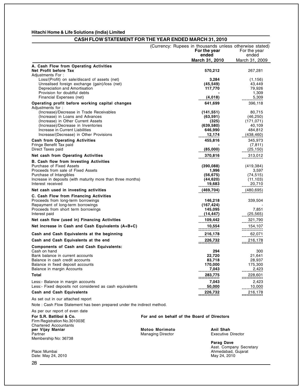#### **CASH FLOW STATEMENT FOR THE YEAR ENDED MARCH 31, 2010**

|                                                                                                                                                                                                                                                                                                               | (Currency: Rupees in thousands unless otherwise stated)<br>For the year<br>ended<br>March 31, 2010 | For the year<br>ended<br>March 31, 2009                                         |
|---------------------------------------------------------------------------------------------------------------------------------------------------------------------------------------------------------------------------------------------------------------------------------------------------------------|----------------------------------------------------------------------------------------------------|---------------------------------------------------------------------------------|
| A. Cash Flow from Operating Activities<br>Net Profit before Tax                                                                                                                                                                                                                                               | 570,212                                                                                            | 267,281                                                                         |
| Adjustments For:<br>Loss/(Profit) on sale/discard of assets (net)<br>Unrealised foreign exchange (gain)/loss (net)<br>Depreciation and Amortisation<br>Provision for doubtful debts<br>Financial Expenses (net)                                                                                               | 3,284<br>(45, 549)<br>117,770<br>(4,018)                                                           | (1, 156)<br>43,449<br>79,926<br>1,309<br>5,309                                  |
| Operating profit before working capital changes<br>Adjustments for:<br>(Increase)/Decrease in Trade Receivables<br>(Increase) in Loans and Advances<br>(Increase) in Other Current Assets<br>(Increase)/Decrease in Inventories<br>Increase in Current Liabilities<br>Increase/(Decrease) in Other Provisions | 641,699<br>(141, 551)<br>(63, 591)<br>(325)<br>(639, 580)<br>646,990<br>12,174                     | 396,118<br>80,715<br>(46, 250)<br>(171, 071)<br>40,109<br>484,812<br>(438, 460) |
| <b>Cash from Operating Activities</b><br>Fringe Benefit Tax paid<br>Direct Taxes paid                                                                                                                                                                                                                         | 455,816<br>(85,000)                                                                                | 345,973<br>(7, 811)<br>(25, 150)                                                |
| Net cash from Operating Activities                                                                                                                                                                                                                                                                            | 370,816                                                                                            | 313,012                                                                         |
| B. Cash flow from Investing Activities<br>Purchase of Fixed Assets<br>Proceeds from sale of Fixed Assets<br>Purchase of Intangibles<br>Increase in deposits (with maturity more than three months)<br>Interest received                                                                                       | (390, 088)<br>1,996<br>(56, 675)<br>(44, 620)<br>19,683                                            | (419, 384)<br>3,597<br>(74,515)<br>(11, 103)<br>20,710                          |
| Net cash used in investing activities                                                                                                                                                                                                                                                                         | (469, 704)                                                                                         | (480,695)                                                                       |
| C. Cash Flow from Financing Activities<br>Proceeds from long-term borrowings<br>Repayment of long-term borrowings<br>Proceeds from short term borrowings<br>Interest paid                                                                                                                                     | 146,218<br>(167, 424)<br>145,095<br>(14,447)                                                       | 339,504<br>7,851<br>(25, 565)                                                   |
| Net cash flow (used in) Financing Activities                                                                                                                                                                                                                                                                  | 109,442                                                                                            | 321,790                                                                         |
| Net increase in Cash and Cash Equivalents (A+B+C)                                                                                                                                                                                                                                                             | 10,554<br>==============                                                                           | 154,107<br>==============                                                       |
| Cash and Cash Equivalents at the beginning                                                                                                                                                                                                                                                                    | 216,178                                                                                            | 62,071                                                                          |
| Cash and Cash Equivalents at the end                                                                                                                                                                                                                                                                          | ____226,732<br>----------------                                                                    |                                                                                 |
| <b>Components of Cash and Cash Equivalents:</b><br>Cash on hand<br>Bank balance in current accounts<br>Balance in cash credit accounts<br>Balance in fixed deposit accounts<br>Balance in margin Accounts                                                                                                     | 294<br>22,720<br>83,718<br>170,000<br>7,043                                                        | 300<br>21,641<br>28,937<br>175,300<br>2.423                                     |
| Total                                                                                                                                                                                                                                                                                                         | 283,775                                                                                            | 228,601                                                                         |
| Less:- Balance in margin accounts<br>Less:- Fixed deposits not considered as cash equivalents                                                                                                                                                                                                                 | 7,043<br>50,000                                                                                    | ===<br>2,423<br>10,000                                                          |
| <b>Cash and Cash Equivalents</b>                                                                                                                                                                                                                                                                              | 226,732                                                                                            | 216,178                                                                         |
| As set out in our attached report<br>Note: Cash Flow Statement has been prepared under the indirect method.                                                                                                                                                                                                   | ==============                                                                                     | ==============                                                                  |

As per our report of even date

Firm Registration No.301003E Chartered Accountants<br> **per Vijay Maniar**<br>
Partner Membership No: 36738

**For S.R. Batliboi & Co. For and on behalf of the Board of Directors**

**Per Vigorian Motoo Morimoto**<br> **per Vigorian Managing Director**<br> **per Vigorian Managing Director**<br> **Anil Shah**<br> **Anil Shah** Managing Director

**Parag Dave** Asst. Company Secretary Place: Mumbai Ahmedabad, Gujarat Ahmedabad, Gujarat Ahmedabad, Gujarat Ahmedabad, Gujarat Ahmedabad, Gujarat A

Date: May 24, 2010 May 24, 2010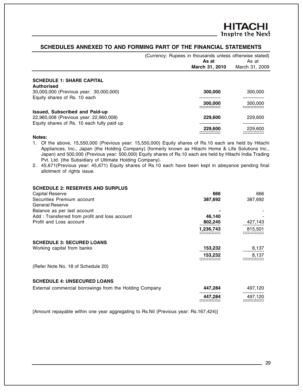#### **SCHEDULES ANNEXED TO AND FORMING PART OF THE FINANCIAL STATEMENTS**

|                                            | (Currency: Rupees in thousands unless otherwise stated) | As at<br>March 31, 2010 | As at<br>March 31, 2009 |
|--------------------------------------------|---------------------------------------------------------|-------------------------|-------------------------|
| <b>SCHEDULE 1: SHARE CAPITAL</b>           |                                                         |                         |                         |
| Authorised                                 |                                                         |                         |                         |
| 30,000,000 (Previous year: 30,000,000)     |                                                         | 300,000                 | 300,000                 |
| Equity shares of Rs. 10 each               |                                                         |                         |                         |
|                                            |                                                         | 300,000                 | 300,000                 |
| <b>Issued, Subscribed and Paid-up</b>      |                                                         |                         |                         |
| 22,960,008 (Previous year: 22,960,008)     |                                                         | 229,600                 | 229,600                 |
| Equity shares of Rs. 10 each fully paid up |                                                         |                         |                         |
|                                            |                                                         | 229,600                 | 229,600                 |
| Notes:                                     |                                                         |                         |                         |

1. Of the above, 15,550,000 (Previous year: 15,550,000) Equity shares of Rs.10 each are held by Hitachi Appliances, Inc., Japan (the Holding Company) (formerly known as Hitachi Home & Life Solutions Inc., Japan) and 500,000 (Previous year: 500,000) Equity shares of Rs.10 each are held by Hitachi India Trading Pvt. Ltd. (the Subsidiary of Ultimate Holding Company).

2. 45,671(Previous year: 45,671) Equity shares of Rs.10 each have been kept in abeyance pending final allotment of rights issue.

| <b>SCHEDULE 2: RESERVES AND SURPLUS</b>       |           |         |
|-----------------------------------------------|-----------|---------|
| <b>Capital Reserve</b>                        | 666       | 666     |
| Securities Premium account                    | 387,692   | 387,692 |
| <b>General Reserve</b>                        |           |         |
| Balance as per last account                   |           |         |
| Add: Transferred from profit and loss account | 46.140    |         |
| Profit and Loss account                       | 802,245   | 427,143 |
|                                               | 1,236,743 | 815,501 |
| <b>SCHEDULE 3: SECURED LOANS</b>              |           |         |
| Working capital from banks                    | 153,232   | 8,137   |
|                                               | 153,232   | 8,137   |
| (Refer Note No. 18 of Schedule 20)            |           |         |

#### **SCHEDULE 4: UNSECURED LOANS**

| External commercial borrowings from the Holding Company | 447.284                                                       | 497.120                                                       |
|---------------------------------------------------------|---------------------------------------------------------------|---------------------------------------------------------------|
|                                                         | --------------<br>447.284<br>--------------<br>-------------- | --------------<br>497.120<br>--------------<br>-------------- |

[Amount repayable within one year aggregating to Rs.Nil (Previous year: Rs.167,424)]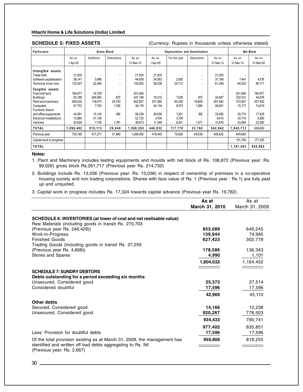**SCHEDULE 5: FIXED ASSETS** (Currency: Rupees in thousands unless otherwise stated)

| <b>Particulars</b>       | <b>Gross Block</b> |           |                   | Depreciation and Amortisation |          |              |                   | Net Block |           |           |
|--------------------------|--------------------|-----------|-------------------|-------------------------------|----------|--------------|-------------------|-----------|-----------|-----------|
|                          | As on              | Additions | <b>Deductions</b> | As on                         | As on    | For the year | <b>Deductions</b> | As on     | As on     | As on     |
|                          | 1-Apr-09           |           |                   | 31-Mar-10                     | 1-Apr-09 |              |                   | 31-Mar-10 | 31-Mar-10 | 31-Mar-09 |
| Intangible assets        |                    |           |                   |                               |          |              |                   |           |           |           |
| Trade mark               | 21,000             |           | ٠                 | 21,000                        | 21,000   |              | $\blacksquare$    | 21,000    |           |           |
| Software capitalisation  | 39,141             | 5,498     | ٠                 | 44.639                        | 34,563   | 2,635        | $\blacksquare$    | 37,198    | 7,441     | 4,578     |
| Technical know how       | 133,307            | 22,495    |                   | 155,802                       | 36,536   | 24,713       |                   | 61,249    | 94,553    | 96,771    |
| Tangible assets          |                    |           |                   |                               |          |              |                   |           |           |           |
| Free hold land           | 184,877            | 16,729    |                   | 201,606                       |          |              |                   |           | 201,606   | 184,877   |
| <b>Buildings</b>         | 63,188             | 284,682   | 672               | 347.198                       | 18,310   | 7,029        | 672               | 24,667    | 322,531   | 44,878    |
| Plant and machinery      | 509,032            | 118,575   | 24,750            | 602,857                       | 251,580  | 60,209       | 19,859            | 291,930   | 310,927   | 257,452   |
| Computers                | 57,753             | 7,700     | 1,335             | 64,118                        | 44,134   | 6,073        | 1,266             | 48,941    | 15,177    | 13,619    |
| Furniture, fixture       |                    |           |                   |                               |          |              |                   |           |           |           |
| and office equipments    | 44,591             | 15,140    | 492               | 59,239                        | 26,656   | 7,201        | 392               | 33,465    | 25,774    | 17,935    |
| Electrical installations | 10,964             | 41,159    |                   | 52,123                        | 4.704    | 3,709        |                   | 8.413     | 43.710    | 6,260     |
| Vehicles                 | 34,629             | 7,135     | 1,791             | 39,973                        | 11,349   | 6,201        | 1,571             | 15,979    | 23,994    | 23,280    |
| <b>TOTAL</b>             | 1,098,482          | 519,113   | 29,040            | 1,588,555                     | 448,832  | 117,770      | 23,760            | 542,842   | 1,045,713 | 649,650   |
| Previous year            | 733,185            | 417,277   | 51,980            | 1,098,482                     | 418,445  | 79,926       | 49,539            | 448,832   | 649,650   |           |
| Capital work in progress |                    |           |                   |                               |          |              |                   |           | 151,790   | 177,235   |
| <b>TOTAL</b>             |                    |           |                   |                               |          |              |                   |           | 1,197,503 | 826,885   |

#### **Notes:**

1. Plant and Machinery includes testing equipments and moulds with net block of Rs. 106,872 (Previous year: Rs. 99,026) gross block Rs.261,717 (Previous year Rs. 214,732).

2. Buildings include Rs. 13,036 (Previous year: Rs. 13,036) in respect of ownership of premises in a co-operative housing society and non trading corporations. Shares with face value of Rs. 1 (Previous year : Rs.1) are fully paid up and unquoted.

3. Capital work in progress includes Rs. 17,324 towards capital advance (Previous year Rs. 19,782).

|                                                                                                                              | As at<br>March 31, 2010 | As at<br>March 31, 2009 |
|------------------------------------------------------------------------------------------------------------------------------|-------------------------|-------------------------|
|                                                                                                                              |                         |                         |
| SCHEDULE 6: INVENTORIES (at lower of cost and net realisable value)<br>Raw Materials (including goods in transit Rs. 270,703 |                         |                         |
| (Previous year Rs. 246,428))                                                                                                 | 853,089                 | 649,245                 |
| Work-in-Progress                                                                                                             | 139,944                 | 74,985                  |
| <b>Finished Goods</b>                                                                                                        | 627,423                 | 302,778                 |
| Trading Goods (including goods in transit Rs. 27,259                                                                         |                         |                         |
| (Previous year Rs. 4,808))                                                                                                   | 178,586                 | 136,343                 |
| Stores and Spares                                                                                                            | 4,990                   | 1,101                   |
|                                                                                                                              | 1,804,032               | 1,164,452               |
| <b>SCHEDULE 7: SUNDRY DEBTORS</b>                                                                                            | ==============          | --------------          |
| Debts outstanding for a period exceeding six months                                                                          |                         |                         |
| Unsecured, Considered good                                                                                                   | 25,373                  | 27,514                  |
| Considered doubtful                                                                                                          | 17,596                  | 17,596                  |
|                                                                                                                              | 42,969                  | 45,110                  |
| Other debts                                                                                                                  |                         |                         |
| Secured, Considered good                                                                                                     | 14,166                  | 12,238                  |
| Unsecured, Considered good                                                                                                   | 920,267                 | 778,503                 |
|                                                                                                                              | 934.433                 | 790.741                 |
|                                                                                                                              | 977,402                 | 835,851                 |
| Less: Provision for doubtful debts                                                                                           | 17,596                  | 17,596                  |
| Of the total provision existing as at March 31, 2009, the management has                                                     | 959,806                 | 818,255                 |
| identified and written off bad debts aggregating to Rs. Nil<br>(Previous year: Rs. 2,667)                                    | --------------          | --------------          |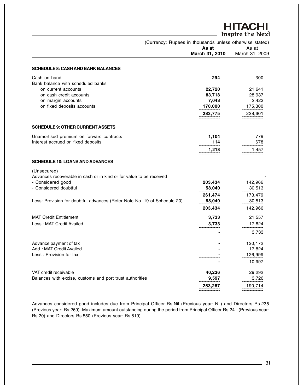|                                                                                    |                | <b>HITACHI</b><br><b>Inspire the Next</b> |
|------------------------------------------------------------------------------------|----------------|-------------------------------------------|
| (Currency: Rupees in thousands unless otherwise stated)                            | As at          | As at                                     |
|                                                                                    | March 31, 2010 | March 31, 2009                            |
| <b>SCHEDULE 8: CASH AND BANK BALANCES</b>                                          |                |                                           |
| Cash on hand<br>Bank balance with scheduled banks                                  | 294            | 300                                       |
| on current accounts                                                                | 22,720         | 21,641                                    |
| on cash credit accounts                                                            | 83,718         | 28,937                                    |
| on margin accounts                                                                 | 7,043          | 2,423                                     |
| on fixed deposits accounts                                                         | 170,000        | 175,300                                   |
|                                                                                    | 283,775        | 228,601                                   |
| <b>SCHEDULE 9: OTHER CURRENT ASSETS</b>                                            |                |                                           |
| Unamortised premium on forward contracts                                           | 1,104          | 779                                       |
| Interest accrued on fixed deposits                                                 | 114            | 678                                       |
|                                                                                    | 1,218          | 1,457                                     |
| <b>SCHEDULE 10: LOANS AND ADVANCES</b>                                             |                |                                           |
| (Unsecured)<br>Advances recoverable in cash or in kind or for value to be received |                |                                           |
| - Considered good                                                                  | 203,434        | 142,966                                   |
| - Considered doubtful                                                              | 58,040         | 30,513                                    |
|                                                                                    | 261,474        | 173,479                                   |
| Less: Provision for doubtful advances (Refer Note No. 19 of Schedule 20)           | 58,040         | 30,513                                    |
|                                                                                    | 203,434        | 142,966                                   |
|                                                                                    |                |                                           |
| <b>MAT Credit Entitlement</b>                                                      | 3,733          | 21,557                                    |
| Less: MAT Credit Availed                                                           | 3,733          | 17,824                                    |
|                                                                                    |                | 3,733                                     |
| Advance payment of tax                                                             |                | 120,172                                   |
| Add: MAT Credit Availed                                                            |                | 17,824                                    |
| Less: Provision for tax                                                            |                | 126,999                                   |
|                                                                                    |                | 10,997                                    |
| VAT credit receivable                                                              | 40,236         | 29,292                                    |
| Balances with excise, customs and port trust authorities                           | 9,597          | 3,726                                     |
|                                                                                    | 253,267        | 190,714<br>=============                  |

Advances considered good includes due from Principal Officer Rs.Nil (Previous year: Nil) and Directors Rs.235 (Previous year: Rs.269). Maximum amount outstanding during the period from Principal Officer Rs.24 (Previous year: Rs.20) and Directors Rs.550 (Previous year: Rs.819).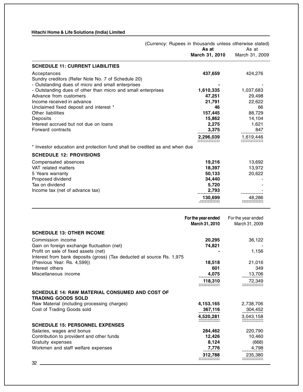|                                                                            | (Currency: Rupees in thousands unless otherwise stated) | As at                                | As at                                |
|----------------------------------------------------------------------------|---------------------------------------------------------|--------------------------------------|--------------------------------------|
|                                                                            |                                                         | March 31, 2010                       | March 31, 2009                       |
| <b>SCHEDULE 11: CURRENT LIABILITIES</b>                                    |                                                         |                                      |                                      |
| Acceptances                                                                |                                                         | 437,659                              | 424,276                              |
| Sundry creditors (Refer Note No. 7 of Schedule 20)                         |                                                         |                                      |                                      |
| - Outstanding dues of micro and small enterprises                          |                                                         |                                      |                                      |
| - Outstanding dues of other than micro and small enterprises               |                                                         | 1,610,335                            | 1,037,683                            |
| Advance from customers                                                     |                                                         | 47,251                               | 29,498                               |
| Income received in advance                                                 |                                                         | 21,791                               | 22,622                               |
| Unclaimed fixed deposit and interest *                                     |                                                         | 46                                   | 66                                   |
| Other liabilities                                                          |                                                         | 157,445                              | 88,729                               |
| Deposits                                                                   |                                                         | 15,862                               | 14,104                               |
| Interest accrued but not due on loans                                      |                                                         | 2,275                                | 1,621                                |
| Forward contracts                                                          |                                                         | 3,375                                | 847                                  |
|                                                                            |                                                         | 2,296,039                            | 1,619,446                            |
| * Investor education and protection fund shall be credited as and when due |                                                         |                                      |                                      |
| <b>SCHEDULE 12: PROVISIONS</b>                                             |                                                         |                                      |                                      |
| Compensated absences                                                       |                                                         | 19,216                               | 13,692                               |
| VAT related matters                                                        |                                                         | 18,397                               | 13,972                               |
| 5 Years warranty                                                           |                                                         | 50,133                               | 20,622                               |
| Proposed dividend                                                          |                                                         | 34,440                               |                                      |
| Tax on dividend                                                            |                                                         | 5,720                                |                                      |
| Income tax (net of advance tax)                                            |                                                         | 2,793                                |                                      |
|                                                                            |                                                         | 130,699                              | 48,286                               |
|                                                                            |                                                         |                                      |                                      |
|                                                                            |                                                         |                                      |                                      |
|                                                                            |                                                         | For the year ended<br>March 31, 2010 | For the year ended<br>March 31, 2009 |
|                                                                            |                                                         |                                      |                                      |
| <b>SCHEDULE 13: OTHER INCOME</b>                                           |                                                         |                                      |                                      |
| Commission income                                                          |                                                         | 20,295                               | 36,122                               |
| Gain on foreign exchange fluctuation (net)                                 |                                                         | 74,821                               |                                      |
| Profit on sale of fixed assets (net)                                       |                                                         |                                      | 1,156                                |
| Interest from bank deposits (gross) (Tax deducted at source Rs. 1,975      |                                                         |                                      |                                      |
| (Previous Year: Rs. 4,599))                                                |                                                         | 18,518                               | 21,016                               |
| Interest others                                                            |                                                         | 601                                  | 349                                  |
| Miscellaneous income                                                       |                                                         | 4,075                                | 13,706                               |
|                                                                            |                                                         | 118,310                              | 72,349                               |
| <b>SCHEDULE 14: RAW MATERIAL CONSUMED AND COST OF</b>                      |                                                         |                                      |                                      |
| <b>TRADING GOODS SOLD</b>                                                  |                                                         |                                      |                                      |
| Raw Material (including processing charges)                                |                                                         | 4,153,165                            | 2,738,706                            |
| Cost of Trading Goods sold                                                 |                                                         | 367,116                              | 304,452                              |
|                                                                            |                                                         | 4,520,281                            | 3,043,158                            |
|                                                                            |                                                         |                                      |                                      |
| <b>SCHEDULE 15: PERSONNEL EXPENSES</b>                                     |                                                         |                                      |                                      |
| Salaries, wages and bonus                                                  |                                                         | 284,462                              | 220,790                              |

**312,788** 235,380 -------------- -------------- -------------- --------------

Contribution to provident and other funds<br>
Gratuity expenses (668)<br>
Gratuity expenses (668) Gratuity expenses **8,124** (668) Workmen and staff welfare expenses **7,776** 4,798 ----------- --------------

 $32$   $\phantom{0}$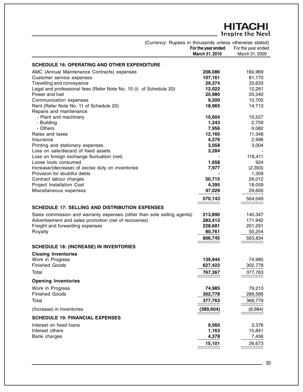# **HITACHI**<br>Inspire the Next

|                                                                         | (Currency: Rupees in thousands unless otherwise stated)<br>For the year ended<br>March 31, 2010 | For the year ended<br>March 31, 2009 |
|-------------------------------------------------------------------------|-------------------------------------------------------------------------------------------------|--------------------------------------|
| <b>SCHEDULE 16: OPERATING AND OTHER EXPENDITURE</b>                     |                                                                                                 |                                      |
| AMC (Annual Maintenance Contracts) expenses                             | 208,086                                                                                         | 160,969                              |
| Customer service expenses                                               | 107,161                                                                                         | 81,770                               |
| Travelling and conveyance                                               | 29,374                                                                                          | 33,633                               |
| Legal and professional fees (Refer Note No. 15 (i) of Schedule 20)      | 12,022                                                                                          | 12,281                               |
| Power and fuel                                                          | 25,980                                                                                          | 20,340                               |
| Communication expenses                                                  | 9,200                                                                                           | 10,705                               |
| Rent (Refer Note No. 11 of Schedule 20)                                 | 18,965                                                                                          | 14,713                               |
| Repairs and maintenance                                                 |                                                                                                 |                                      |
| - Plant and machinery                                                   | 15,604                                                                                          | 10,527                               |
| - Building                                                              | 1,243                                                                                           | 2,759                                |
| - Others                                                                | 7,956                                                                                           | 9,082                                |
| Rates and taxes                                                         | 12,160                                                                                          | 11,348                               |
| Insurance                                                               | 4,276                                                                                           | 2,996                                |
| Printing and stationery expenses                                        | 3,058                                                                                           | 3,004                                |
| Loss on sale/discard of fixed assets                                    | 3,284                                                                                           |                                      |
| Loss on foreign exchange fluctuation (net)                              |                                                                                                 | 116,411                              |
| Loose tools consumed                                                    | 1,658                                                                                           | 924                                  |
| Increase/(decrease) of excise duty on inventories                       | 7,977                                                                                           | (2, 393)                             |
| Provision for doubtful debts                                            |                                                                                                 | 1,309                                |
| Contract labour charges                                                 | 50,715                                                                                          | 26,012                               |
| Project Installation Cost                                               | 4,395                                                                                           | 18,059                               |
| Miscellaneous expenses                                                  | 47,029                                                                                          | 29,600                               |
|                                                                         | 570,143                                                                                         | 564,049                              |
| <b>SCHEDULE 17: SELLING AND DISTRIBUTION EXPENSES</b>                   |                                                                                                 | ===============                      |
| Sales commission and warranty expenses (other than sole selling agents) | 213,890                                                                                         | 140,347                              |
| Advertisement and sales promotion (net of recoveries)                   | 283,413                                                                                         | 171,942                              |
| Freight and forwarding expenses                                         | 228,681                                                                                         | 201,291                              |
| Royalty                                                                 | 80,761                                                                                          | 50,254                               |
|                                                                         | 806,745                                                                                         | 563,834                              |
|                                                                         |                                                                                                 |                                      |
| <b>SCHEDULE 18: (INCREASE) IN INVENTORIES</b>                           |                                                                                                 |                                      |
| <b>Closing Inventories</b>                                              |                                                                                                 |                                      |
| Work in Progress                                                        | 139,944                                                                                         | 74,985                               |
| <b>Finished Goods</b>                                                   | 627,423                                                                                         | 302,778                              |
| Total                                                                   | 767,367                                                                                         | 377,763                              |
| <b>Opening Inventories</b>                                              |                                                                                                 |                                      |
|                                                                         |                                                                                                 |                                      |
| Work in Progress<br><b>Finished Goods</b>                               | 74,985<br>302,778                                                                               | 79,213<br>289,566                    |
|                                                                         |                                                                                                 |                                      |
| Total                                                                   | 377,763                                                                                         | 368,779                              |
| (Increase) in Inventories                                               | (389, 604)                                                                                      | (8,984)                              |
| <b>SCHEDULE 19: FINANCIAL EXPENSES</b>                                  |                                                                                                 |                                      |
| Interest on fixed loans                                                 | 9,560                                                                                           | 3,376                                |
| Interest others                                                         | 1,163                                                                                           | 15,841                               |
| Bank charges                                                            | 4,378                                                                                           | 7,456                                |
|                                                                         | 15,101                                                                                          | 26,673                               |
|                                                                         |                                                                                                 |                                      |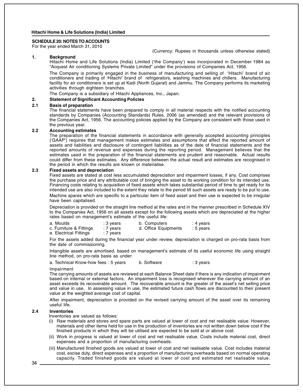#### **SCHEDULE 20: NOTES TO ACCOUNTS**

For the year ended March 31, 2010

(Currency: Rupees in thousands unless otherwise stated)

#### **1. Background**

Hitachi Home and Life Solutions (India) Limited ('the Company') was incorporated in December 1984 as "Acquest Air conditioning Systems Private Limited" under the provisions of Companies Act, 1956.

The Company is primarily engaged in the business of manufacturing and selling of 'Hitachi' brand of air conditioners and trading of 'Hitachi' brand of refrigerators, washing machines and chillers. Manufacturing facility for air conditioners is set up at Kadi (North Gujarat) and Jammu. The Company performs its marketing activities through eighteen branches.

The Company is a subsidiary of Hitachi Appliances, Inc., Japan.

#### **2. Statement of Significant Accounting Policies**

#### **2.1 Basis of preparation**

The financial statements have been prepared to comply in all material respects with the notified accounting standards by Companies (Accounting Standards) Rules, 2006 (as amended) and the relevant provisions of the Companies Act, 1956. The accounting policies applied by the Company are consistent with those used in the previous year.

#### **2.2 Accounting estimates**

The preparation of the financial statements in accordance with generally accepted accounting principles ('GAAP') requires that management makes estimates and assumptions that affect the reported amount of assets and liabilities and disclosure of contingent liabilities as of the date of financial statements and the reported amounts of revenue and expenses during the reporting period. Management believes that the estimates used in the preparation of the financial statements are prudent and reasonable. Actual results could differ from these estimates. Any difference between the actual result and estimates are recognised in the period in which the results are known or materialise.

#### **2.3 Fixed assets and depreciation**

Fixed assets are stated at cost less accumulated depreciation and impairment losses, if any. Cost comprises the purchase price and any attributable cost of bringing the asset to its working condition for its intended use. Financing costs relating to acquisition of fixed assets which takes substantial period of time to get ready for its intended use are also included to the extent they relate to the period till such assets are ready to be put to use. Machine spares which are specific to a particular item of fixed asset and their use is expected to be irregular have been capitalised.

Depreciation is provided on the straight line method at the rates and in the manner prescribed in Schedule XIV to the Companies Act, 1956 on all assets except for the following assets which are depreciated at the higher rates based on management's estimate of the useful life:

| a. Moulds               | : 3 years | b. Computers         | : 4 years |
|-------------------------|-----------|----------------------|-----------|
| c. Furniture & Fittings | : 7 years | d. Office Equipments | : 5 years |
| e. Electrical Fittings  | : 7 years |                      |           |

For the assets added during the financial year under review, depreciation is charged on pro-rata basis from the date of commissioning.

Intangible assets are amortised, based on management's estimate of its useful economic life using straight line method, on pro-rata basis as under:

a. Technical Know-how fees : 5 years b. Software : 3 years

#### Impairment

The carrying amounts of assets are reviewed at each Balance Sheet date if there is any indication of impairment based on internal or external factors. An impairment loss is recognised wherever the carrying amount of an asset exceeds its recoverable amount. The recoverable amount is the greater of the asset's net selling price and value in use. In assessing value in use, the estimated future cash flows are discounted to their present value at the weighted average cost of capital.

After impairment, depreciation is provided on the revised carrying amount of the asset over its remaining useful life.

#### **2.4 Inventories**

Inventories are valued as follows:

- (i) Raw materials and stores and spare parts are valued at lower of cost and net realisable value. However, materials and other items held for use in the production of inventories are not written down below cost if the finished products in which they will be utilised are expected to be sold at or above cost.
- (ii) Work in progress is valued at lower of cost and net realisable value. Costs include material cost, direct expenses and a proportion of manufacturing overheads.
- (iii) Manufactured finished goods are valued at lower of cost and net realisable value. Cost includes material cost, excise duty, direct expenses and a proportion of manufacturing overheads based on normal operating capacity. Traded finished goods are valued at lower of cost and estimated net realisable value.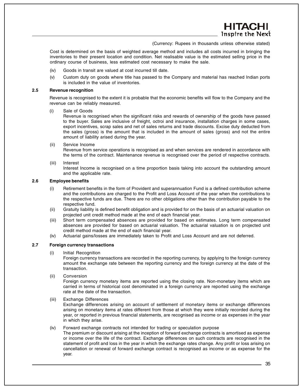**TAC** Inspire the Next

(Currency: Rupees in thousands unless otherwise stated)

Cost is determined on the basis of weighted average method and includes all costs incurred in bringing the inventories to their present location and condition. Net realisable value is the estimated selling price in the ordinary course of business, less estimated cost necessary to make the sale.

- (iv) Goods in transit are valued at cost incurred till date.
- (v) Custom duty on goods where title has passed to the Company and material has reached Indian ports is included in the value of inventories.

#### **2.5 Revenue recognition**

Revenue is recognised to the extent it is probable that the economic benefits will flow to the Company and the revenue can be reliably measured.

#### (i) Sale of Goods

Revenue is recognised when the significant risks and rewards of ownership of the goods have passed to the buyer. Sales are inclusive of freight, octroi and insurance, installation charges in some cases, export incentives, scrap sales and net of sales returns and trade discounts. Excise duty deducted from the sales (gross) is the amount that is included in the amount of sales (gross) and not the entire amount of liability arised during the year.

(ii) Service Income

Revenue from service operations is recognised as and when services are rendered in accordance with the terms of the contract. Maintenance revenue is recognised over the period of respective contracts.

(iii) Interest

Interest Income is recognised on a time proportion basis taking into account the outstanding amount and the applicable rate.

#### **2.6 Employee benefits**

- (i) Retirement benefits in the form of Provident and superannuation Fund is a defined contribution scheme and the contributions are charged to the Profit and Loss Account of the year when the contributions to the respective funds are due. There are no other obligations other than the contribution payable to the respective fund.
- (ii) Gratuity liability is defined benefit obligation and is provided for on the basis of an actuarial valuation on projected unit credit method made at the end of each financial year.
- (iii) Short term compensated absences are provided for based on estimates. Long term compensated absences are provided for based on actuarial valuation. The actuarial valuation is on projected unit credit method made at the end of each financial year.
- (iv) Actuarial gains/losses are immediately taken to Profit and Loss Account and are not deferred.

#### **2.7 Foreign currency transactions**

(i) Initial Recognition

Foreign currency transactions are recorded in the reporting currency, by applying to the foreign currency amount the exchange rate between the reporting currency and the foreign currency at the date of the transaction.

(ii) Conversion

Foreign currency monetary items are reported using the closing rate. Non-monetary items which are carried in terms of historical cost denominated in a foreign currency are reported using the exchange rate at the date of the transaction.

(iii) Exchange Differences

Exchange differences arising on account of settlement of monetary items or exchange differences arising on monetary items at rates different from those at which they were initially recorded during the year, or reported in previous financial statements, are recognised as income or as expenses in the year in which they arise.

#### (iv) Forward exchange contracts not intended for trading or speculation purpose

The premium or discount arising at the inception of forward exchange contracts is amortised as expense or income over the life of the contract. Exchange differences on such contracts are recognised in the statement of profit and loss in the year in which the exchange rates change. Any profit or loss arising on cancellation or renewal of forward exchange contract is recognised as income or as expense for the year.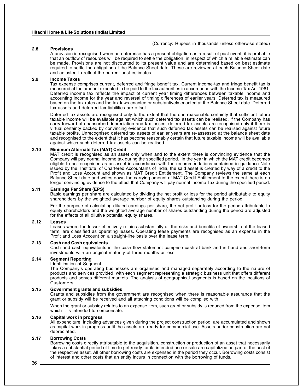(Currency: Rupees in thousands unless otherwise stated)

#### **2.8 Provisions**

A provision is recognised when an enterprise has a present obligation as a result of past event; it is probable that an outflow of resources will be required to settle the obligation, in respect of which a reliable estimate can be made. Provisions are not discounted to its present value and are determined based on best estimate required to settle the obligation at the Balance Sheet date. These are reviewed at each Balance Sheet date and adjusted to reflect the current best estimates.

#### **2.9 Income Taxes**

Tax expense comprises current, deferred and fringe benefit tax. Current income-tax and fringe benefit tax is measured at the amount expected to be paid to the tax authorities in accordance with the Income Tax Act 1961. Deferred income tax reflects the impact of current year timing differences between taxable income and accounting income for the year and reversal of timing differences of earlier years. Deferred tax is measured based on the tax rates and the tax laws enacted or substantively enacted at the Balance Sheet date. Deferred tax assets and deferred tax liabilities are offset.

Deferred tax assets are recognised only to the extent that there is reasonable certainty that sufficient future taxable income will be available against which such deferred tax assets can be realised. If the Company has carry forward of unabsorbed depreciation and tax losses, deferred tax assets are recognised only if there is virtual certainty backed by convincing evidence that such deferred tax assets can be realised against future taxable profits. Unrecognised deferred tax assets of earlier years are re-assessed at the balance sheet date and recognised to the extent that it has become reasonably certain that future taxable income will be available against which such deferred tax assets can be realised.

#### **2.10 Minimum Alternate Tax (MAT) Credit**

MAT credit is recognised as an asset only when and to the extent there is convincing evidence that the Company will pay normal income tax during the specified period. In the year in which the MAT credit becomes eligible to be recognised as an asset in accordance with the recommendations contained in guidance Note issued by the Institute of Chartered Accountants of India, the said asset is created by way of a credit to the Profit and Loss Account and shown as MAT Credit Entitlement. The Company reviews the same at each Balance Sheet date and writes down the carrying amount of MAT Credit Entitlement to the extent there is no longer convincing evidence to the effect that Company will pay normal Income Tax during the specified period.

#### **2.11 Earnings Per Share (EPS)**

Basic earnings per share are calculated by dividing the net profit or loss for the period attributable to equity shareholders by the weighted average number of equity shares outstanding during the period.

For the purpose of calculating diluted earnings per share, the net profit or loss for the period attributable to equity shareholders and the weighted average number of shares outstanding during the period are adjusted for the effects of all dilutive potential equity shares.

#### **2.12 Leases**

Leases where the lessor effectively retains substantially all the risks and benefits of ownership of the leased term, are classified as operating leases. Operating lease payments are recognised as an expense in the Profit and Loss Account on a straight-line basis over the lease term.

#### **2.13 Cash and Cash equivalents**

Cash and cash equivalents in the cash flow statement comprise cash at bank and in hand and short-term investments with an original maturity of three months or less.

#### **2.14 Segment Reporting**

#### Identification of Segment

The Company's operating businesses are organised and managed separately according to the nature of products and services provided, with each segment representing a strategic business unit that offers different products and serves different markets. The analysis of geographical segments is based on the locations of Customers.

#### **2.15 Government grants and subsidies**

Grants and subsidies from the government are recognised when there is reasonable assurance that the grant or subsidy will be received and all attaching conditions will be complied with.

When the grant or subsidy relates to an expense item, such grant or subsidy is reduced from the expense item which it is intended to compensate.

#### **2.16 Capital work in progress**

All expenditure, including advances given during the project construction period, are accumulated and shown as capital work in progress until the assets are ready for commercial use. Assets under construction are not depreciated.

#### **2.17 Borrowing Costs**

Borrowing costs directly attributable to the acquisition, construction or production of an asset that necessarily takes a substantial period of time to get ready for its intended use or sale are capitalized as part of the cost of the respective asset. All other borrowing costs are expensed in the period they occur. Borrowing costs consist of interest and other costs that an entity incurs in connection with the borrowing of funds.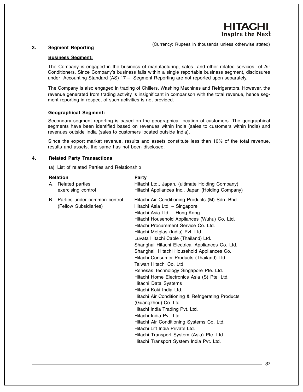#### **3. Segment Reporting**

(Currency: Rupees in thousands unless otherwise stated)

#### **Business Segment:**

The Company is engaged in the business of manufacturing, sales and other related services of Air Conditioners. Since Company's business falls within a single reportable business segment, disclosures under Accounting Standard (AS) 17 – Segment Reporting are not reported upon separately.

The Company is also engaged in trading of Chillers, Washing Machines and Refrigerators. However, the revenue generated from trading activity is insignificant in comparison with the total revenue, hence segment reporting in respect of such activities is not provided.

#### **Geographical Segment:**

Secondary segment reporting is based on the geographical location of customers. The geographical segments have been identified based on revenues within India (sales to customers within India) and revenues outside India (sales to customers located outside India).

Since the export market revenue, results and assets constitute less than 10% of the total revenue, results and assets, the same has not been disclosed.

#### **4. Related Party Transactions**

(a) List of related Parties and Relationship

| <b>Relation</b> |                                                          | Party                                                                                                                                                                                                                                                                                                                                                                                                                                                                                                                                                                                                                                                                                                                                                                                                                                                                                                                          |
|-----------------|----------------------------------------------------------|--------------------------------------------------------------------------------------------------------------------------------------------------------------------------------------------------------------------------------------------------------------------------------------------------------------------------------------------------------------------------------------------------------------------------------------------------------------------------------------------------------------------------------------------------------------------------------------------------------------------------------------------------------------------------------------------------------------------------------------------------------------------------------------------------------------------------------------------------------------------------------------------------------------------------------|
|                 | A. Related parties<br>exercising control                 | Hitachi Ltd., Japan, (ultimate Holding Company)<br>Hitachi Appliances Inc., Japan (Holding Company)                                                                                                                                                                                                                                                                                                                                                                                                                                                                                                                                                                                                                                                                                                                                                                                                                            |
|                 | B. Parties under common control<br>(Fellow Subsidiaries) | Hitachi Air Conditioning Products (M) Sdn. Bhd.<br>Hitachi Asia Ltd. - Singapore<br>Hitachi Asia Ltd. - Hong Kong<br>Hitachi Household Appliances (Wuhu) Co. Ltd.<br>Hitachi Procurement Service Co. Ltd.<br>Hitachi Metglas (India) Pvt. Ltd.<br>Luvata Hitachi Cable (Thailand) Ltd.<br>Shanghai Hitachi Electrical Appliances Co. Ltd.<br>Shanghai Hitachi Household Appliances Co.<br>Hitachi Consumer Products (Thailand) Ltd.<br>Taiwan Hitachi Co. Ltd.<br>Renesas Technology Singapore Pte. Ltd.<br>Hitachi Home Electronics Asia (S) Pte. Ltd.<br>Hitachi Data Systems<br>Hitachi Koki India Ltd.<br>Hitachi Air Conditioning & Refrigerating Products<br>(Guangzhou) Co. Ltd.<br>Hitachi India Trading Pvt. Ltd.<br>Hitachi India Pvt. Ltd.<br>Hitachi Air Conditioning Systems Co. Ltd.<br>Hitachi Lift India Private Ltd.<br>Hitachi Transport System (Asia) Pte. Ltd.<br>Hitachi Transport System India Pvt. Ltd. |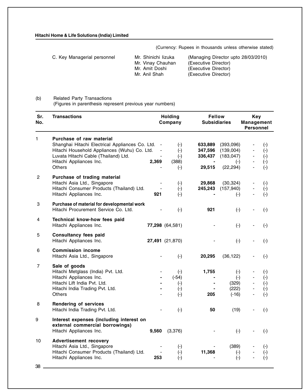(Currency: Rupees in thousands unless otherwise stated)

| C. Key Managerial personnel | Mr. Shinichi lizuka | (Managing Director upto 28/03/2010) |
|-----------------------------|---------------------|-------------------------------------|
|                             | Mr. Vinay Chauhan   | (Executive Director)                |
|                             | Mr. Amit Doshi      | (Executive Director)                |
|                             | Mr. Anil Shah       | (Executive Director)                |

#### (b) Related Party Transactions

(Figures in parenthesis represent previous year numbers)

| Sr.<br>No.                | <b>Transactions</b>                                                                                                                                                                                             |                                  | <b>Holding</b><br>Company                               | <b>Fellow</b><br><b>Subsidiaries</b>                      |                                                            | <b>Key</b><br><b>Management</b><br><b>Personnel</b>      |                                                               |
|---------------------------|-----------------------------------------------------------------------------------------------------------------------------------------------------------------------------------------------------------------|----------------------------------|---------------------------------------------------------|-----------------------------------------------------------|------------------------------------------------------------|----------------------------------------------------------|---------------------------------------------------------------|
| 1                         | Purchase of raw material<br>Shanghai Hitachi Electrical Appliances Co. Ltd.<br>Hitachi Household Appliances (Wuhu) Co. Ltd.<br>Luvata Hitachi Cable (Thailand) Ltd.<br>Hitachi Appliances Inc.<br><b>Others</b> | 2,369                            | $(\cdot)$<br>$(\cdot)$<br>$(-)$<br>(388)<br>$(\cdot)$   | 633,889<br>347,596<br>336,437<br>$\blacksquare$<br>29,515 | (393,096)<br>(139,004)<br>(183, 047)<br>$(-)$<br>(22, 294) | $\overline{\phantom{a}}$<br>$\qquad \qquad \blacksquare$ | $(\cdot)$<br>$(\cdot)$<br>$(\cdot)$<br>$(-)$<br>$(-)$         |
| $\overline{2}$            | Purchase of trading material<br>Hitachi Asia Ltd., Singapore<br>Hitachi Consumer Products (Thailand) Ltd.<br>Hitachi Appliances Inc.                                                                            | 921                              | $(\cdot)$<br>$(\cdot)$<br>$(-)$                         | 29,868<br>245,243                                         | (30, 324)<br>(157, 940)<br>$(\cdot)$                       |                                                          | $(\cdot)$<br>$(\cdot)$<br>$(-)$                               |
| $\ensuremath{\mathsf{3}}$ | Purchase of material for developmental work<br>Hitachi Procurement Service Co. Ltd.                                                                                                                             |                                  | $(-)$                                                   | 921                                                       | $(-)$                                                      |                                                          | $(-)$                                                         |
| 4                         | Technical know-how fees paid<br>Hitachi Appliances Inc.                                                                                                                                                         |                                  | 77,298 (64,581)                                         |                                                           | $(\cdot)$                                                  |                                                          | $(\cdot)$                                                     |
| $\mathbf 5$               | <b>Consultancy fees paid</b><br>Hitachi Appliances Inc.                                                                                                                                                         |                                  | 27,491 (21,870)                                         |                                                           | $(\cdot)$                                                  |                                                          | $(\cdot)$                                                     |
| 6                         | <b>Commission income</b><br>Hitachi Asia Ltd., Singapore                                                                                                                                                        |                                  | $(\cdot)$                                               | 20,295                                                    | (36, 122)                                                  |                                                          | $(\cdot)$                                                     |
| $\overline{7}$            | Sale of goods<br>Hitachi Metglass (India) Pvt. Ltd.<br>Hitachi Appliances Inc.<br>Hitachi Lift India Pvt. Ltd.<br>Hitachi India Trading Pvt. Ltd.<br><b>Others</b>                                              | $\blacksquare$<br>$\blacksquare$ | $(\cdot)$<br>$(-54)$<br>$(\cdot)$<br>$(\cdot)$<br>$(-)$ | 1,755<br>$\blacksquare$<br>205                            | $(\cdot)$<br>$(\cdot)$<br>(329)<br>(222)<br>$(-16)$        | $\overline{\phantom{a}}$<br>$\overline{\phantom{0}}$     | $(\cdot)$<br>$(\cdot)$<br>$(\cdot)$<br>$(\cdot)$<br>$(\cdot)$ |
| 8                         | <b>Rendering of services</b><br>Hitachi India Trading Pvt. Ltd.                                                                                                                                                 |                                  | $(-)$                                                   | 50                                                        | (19)                                                       |                                                          | $(\cdot)$                                                     |
| 9                         | Interest expenses (including interest on<br>external commercial borrowings)<br>Hitachi Appliances Inc.                                                                                                          | 9,560                            | (3,376)                                                 |                                                           | $(\cdot)$                                                  |                                                          | $(-)$                                                         |
| 10<br>38                  | <b>Advertisement recovery</b><br>Hitachi Asia Ltd., Singapore<br>Hitachi Consumer Products (Thailand) Ltd.<br>Hitachi Appliances Inc.                                                                           | 253                              | $(\cdot)$<br>$(\cdot)$<br>$(-)$                         | 11,368                                                    | (389)<br>$(\cdot)$<br>$(\cdot)$                            |                                                          | $(\cdot)$<br>$(\cdot)$<br>$(\cdot)$                           |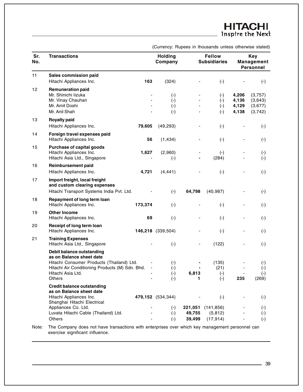# **HITACHI**<br>Inspire the Next

|  |  | (Currency: Rupees in thousands unless otherwise stated) |  |  |
|--|--|---------------------------------------------------------|--|--|
|  |  |                                                         |  |  |

| Sr.<br>No. | <b>Transactions</b>                                                                                                                                                                                              | <b>Holding</b><br>Company                    |                             | <b>Fellow</b><br><b>Subsidiaries</b>     |                                  | <b>Key</b><br><b>Management</b><br><b>Personnel</b> |
|------------|------------------------------------------------------------------------------------------------------------------------------------------------------------------------------------------------------------------|----------------------------------------------|-----------------------------|------------------------------------------|----------------------------------|-----------------------------------------------------|
| 11         | Sales commission paid<br>Hitachi Appliances Inc.<br>163                                                                                                                                                          | (324)                                        |                             | $(-)$                                    |                                  | $(-)$                                               |
| 12         | <b>Remuneration paid</b><br>Mr. Shinichi lizuka<br>Mr. Vinay Chauhan<br>Mr. Amit Doshi<br>Mr. Anil Shah                                                                                                          | $(\cdot)$<br>$(\cdot)$<br>$(\cdot)$<br>$(-)$ |                             | $(\cdot)$<br>$(-)$<br>$(\cdot)$<br>$(-)$ | 4,206<br>4,136<br>4,129<br>4,138 | (3,757)<br>(3,643)<br>(3,677)<br>(3,742)            |
| 13         | <b>Royalty paid</b><br>79,605<br>Hitachi Appliances Inc.                                                                                                                                                         | (49, 293)                                    |                             | $(-)$                                    |                                  | $(-)$                                               |
| 14         | Foreign travel expenses paid<br>Hitachi Appliances Inc.<br>56                                                                                                                                                    | (1, 434)                                     |                             | $(-)$                                    |                                  | $(-)$                                               |
| 15         | <b>Purchase of capital goods</b><br>1,627<br>Hitachi Appliances Inc.<br>Hitachi Asia Ltd., Singapore                                                                                                             | (2,960)<br>$(\cdot)$                         |                             | $(-)$<br>(284)                           |                                  | $(\cdot)$<br>$(-)$                                  |
| 16         | <b>Reimbursement paid</b><br>Hitachi Appliances Inc.<br>4,721                                                                                                                                                    | (4, 441)                                     |                             | $(-)$                                    |                                  | $(-)$                                               |
| 17         | Import freight, local freight<br>and custom clearing expenses<br>Hitachi Transport Systems India Pvt. Ltd.                                                                                                       | $(-)$                                        | 64,798                      | (40, 987)                                |                                  | $(-)$                                               |
| 18         | Repayment of long term loan<br>Hitachi Appliances Inc.<br>173,374                                                                                                                                                | $(-)$                                        |                             | $(-)$                                    |                                  | $(-)$                                               |
| 19         | <b>Other Income</b><br>69<br>Hitachi Appliances Inc.                                                                                                                                                             | $(-)$                                        |                             | $(-)$                                    |                                  | $(-)$                                               |
| 20         | Receipt of long term loan<br>Hitachi Appliances Inc.                                                                                                                                                             | 146,218 (339,504)                            |                             | $(-)$                                    |                                  | $(-)$                                               |
| 21         | <b>Training Expenses</b><br>Hitachi Asia Ltd., Singapore                                                                                                                                                         | $(-)$                                        |                             | (122)                                    |                                  | $(-)$                                               |
|            | Debit balance outstanding<br>as on Balance sheet date<br>Hitachi Consumer Products (Thailand) Ltd.<br>Hitachi Air Conditioning Products (M) Sdn. Bhd.<br>$\overline{\phantom{a}}$<br>Hitachi Asia Ltd.<br>Others | $(\cdot)$<br>$(-)$<br>$(\cdot)$<br>$(-)$     | 6,813<br>1                  | (135)<br>(21)<br>$(\cdot)$<br>$(-)$      | 235                              | $(\textnormal{-})$<br>$(-)$<br>$(\cdot)$<br>(269)   |
|            | <b>Credit balance outstanding</b><br>as on Balance sheet date<br>Hitachi Appliances Inc.                                                                                                                         | 479,152 (534,344)                            |                             | $(\cdot)$                                |                                  | $(\textnormal{-})$                                  |
|            | Shanghai Hitachi Electrical<br>Appliances Co. Ltd.<br>Luvata Hitachi Cable (Thailand) Ltd.<br><b>Others</b>                                                                                                      | $(\cdot)$<br>$(\cdot)$<br>$(\cdot)$          | 221,051<br>49,755<br>39,499 | (141, 856)<br>(5, 812)<br>(17, 914)      |                                  | $(\cdot)$<br>$(\cdot)$<br>$(-)$                     |
|            |                                                                                                                                                                                                                  |                                              |                             |                                          |                                  |                                                     |

Note: The Company does not have transactions with enterprises over which key management personnel can exercise significant influence.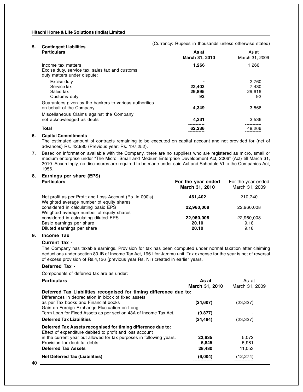| 5. | <b>Contingent Liabilities</b>                                                                        |                         |                         |  |  |
|----|------------------------------------------------------------------------------------------------------|-------------------------|-------------------------|--|--|
|    | <b>Particulars</b>                                                                                   | As at<br>March 31, 2010 | As at<br>March 31, 2009 |  |  |
|    | Income tax matters<br>Excise duty, service tax, sales tax and customs<br>duty matters under dispute: | 1,266                   | 1,266                   |  |  |
|    | Excise duty                                                                                          |                         | 2.760                   |  |  |
|    | Service tax                                                                                          | 22,403                  | 7.430                   |  |  |
|    | Sales tax                                                                                            | 29,895                  | 29,616                  |  |  |
|    | Customs duty                                                                                         | 92                      | 92                      |  |  |
|    | Guarantees given by the bankers to various authorities                                               |                         |                         |  |  |
|    | on behalf of the Company                                                                             | 4,349                   | 3,566                   |  |  |
|    | Miscellaneous Claims against the Company                                                             |                         |                         |  |  |
|    | not acknowledged as debts                                                                            | 4,231                   | 3,536                   |  |  |
|    | <b>Total</b>                                                                                         | 62.236                  | 48,266                  |  |  |
| 6. | <b>Capital Commitments</b>                                                                           |                         |                         |  |  |

(Currency: Rupees in thousands unless otherwise stated)

The estimated amount of contracts remaining to be executed on capital account and not provided for (net of advances) Rs. 42,980 (Previous year: Rs. 197,252).

**7.** Based on information available with the Company, there are no suppliers who are registered as micro, small or medium enterprise under "The Micro, Small and Medium Enterprise Development Act, 2006" (Act) till March 31, 2010. Accordingly, no disclosures are required to be made under said Act and Schedule VI to the Companies Act, 1956.

## **8. Earnings per share (EPS)**

| <b>Particulars</b>                                                                                   | For the year ended<br>March 31, 2010 | For the year ended<br>March 31, 2009 |
|------------------------------------------------------------------------------------------------------|--------------------------------------|--------------------------------------|
| Net profit as per Profit and Loss Account (Rs. In 000's)<br>Weighted average number of equity shares | 461,402                              | 210.740                              |
| considered in calculating basic EPS<br>Weighted average number of equity shares                      | 22,960,008                           | 22,960,008                           |
| considered in calculating diluted EPS                                                                | 22,960,008                           | 22,960,008                           |
| Basic earnings per share                                                                             | 20.10                                | 9.18                                 |
| Diluted earnings per share                                                                           | 20.10                                | 9.18                                 |
|                                                                                                      |                                      |                                      |

#### **9. Income Tax**

#### **Current Tax -**

The Company has taxable earnings. Provision for tax has been computed under normal taxation after claiming deductions under section 80-IB of Income Tax Act, 1961 for Jammu unit. Tax expense for the year is net of reversal of excess provision of Rs.4,126 (previous year Rs. Nil) created in earlier years.

#### **Deferred Tax -**

Components of deferred tax are as under:

| <b>Particulars</b>                                                   | As at          | As at          |
|----------------------------------------------------------------------|----------------|----------------|
|                                                                      | March 31, 2010 | March 31, 2009 |
| Deferred Tax Liabilities recognised for timing difference due to:    |                |                |
| Differences in depreciation in block of fixed assets                 |                |                |
| as per Tax books and Financial books                                 | (24, 607)      | (23, 327)      |
| Gain on Foreign Exchange Fluctuation on Long                         |                |                |
| Term Loan for Fixed Assets as per section 43A of Income Tax Act.     | (9, 877)       |                |
| <b>Deferred Tax Liabilities</b>                                      | (34, 484)      | (23, 327)      |
| Deferred Tax Assets recognised for timing difference due to:         |                |                |
| Effect of expenditure debited to profit and loss account             |                |                |
| in the current year but allowed for tax purposes in following years. | 22,635         | 5,072          |
| Provision for doubtful debts                                         | 5,845          | 5,981          |
| <b>Deferred Tax Assets</b>                                           | 28,480         | 11,053         |
| <b>Net Deferred Tax (Liabilities)</b>                                | (6,004)        | (12.274)       |
| 40                                                                   |                |                |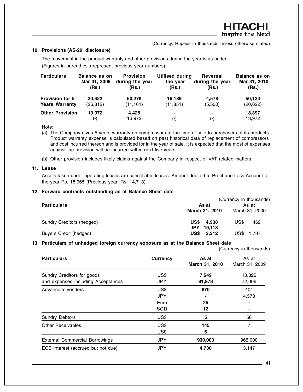(Currency: Rupees in thousands unless otherwise stated)

#### **10. Provisions (AS-29 disclosure)**

The movement in the product warranty and other provisions during the year is as under: (Figures in parenthesis represent previous year numbers).

| <b>Particulars</b>     | Balance as on<br>Mar 31, 2009<br>(Rs.) | <b>Provision</b><br>during the year<br>(Rs.) | Utilised during<br>the year<br>(Rs.) | Reversal<br>during the year<br>(Rs.) | <b>Balance as on</b><br>Mar 31, 2010<br>(Rs.) |
|------------------------|----------------------------------------|----------------------------------------------|--------------------------------------|--------------------------------------|-----------------------------------------------|
| <b>Provision for 5</b> | 20.622                                 | 50.278                                       | 16,189                               | 4.578                                | 50,133                                        |
| <b>Years Warranty</b>  | (26, 812)                              | (11, 161)                                    | (11, 851)                            | (5,500)                              | (20, 622)                                     |
| <b>Other Provision</b> | 13.972<br>(-)                          | 4.425<br>13,972                              | ۰<br>$(-)$                           | ۰<br>$(\cdot)$                       | 18,397<br>13,972                              |
|                        |                                        |                                              |                                      |                                      |                                               |

Note:

- (a) The Company gives 5 years warranty on compressors at the time of sale to purchasers of its products. Product warranty expense is calculated based on past historical data of replacement of compressors and cost incurred thereon and is provided for in the year of sale. It is expected that the most of expenses against the provision will be incurred within next five years.
- (b) Other provision includes likely claims against the Company in respect of VAT related matters.

#### **11. Lease**

Assets taken under operating leases are cancellable leases. Amount debited to Profit and Loss Account for the year Rs. 18,965 (Previous year: Rs. 14,713).

#### **12. Forward contracts outstanding as at Balance Sheet date**

|                               | (Currency in thousands) |                |  |  |
|-------------------------------|-------------------------|----------------|--|--|
| <b>Particulars</b>            | As at                   | As at          |  |  |
|                               | March 31, 2010          | March 31, 2009 |  |  |
| Sundry Creditors (hedged)     | <b>US\$</b> 4.938       | US\$<br>462    |  |  |
|                               | JPY.<br>19.118          |                |  |  |
| <b>Buyers Credit (hedged)</b> | US\$<br>3.312           | US\$<br>1.787  |  |  |

#### **13. Particulars of unhedged foreign currency exposure as at the Balance Sheet date**

(Currency in thousands)

| <b>Particulars</b>                    | Currency   | As at<br>March 31, 2010 | As at<br>March 31, 2009 |
|---------------------------------------|------------|-------------------------|-------------------------|
| Sundry Creditors for goods            | US\$       | 7,549                   | 13,325                  |
| and expenses including Acceptances    | <b>JPY</b> | 91,978                  | 72,006                  |
| Advance to vendors                    | US\$       | 870                     | 404                     |
|                                       | <b>JPY</b> |                         | 4,573                   |
|                                       | Euro       | 25                      |                         |
|                                       | SGD        | 12                      |                         |
| <b>Sundry Debtors</b>                 | US\$       | 5                       | 56                      |
| <b>Other Receivables</b>              | US\$       | 145                     | 7                       |
|                                       | US\$       | 6                       |                         |
| <b>External Commercial Borrowings</b> | <b>JPY</b> | 930,000                 | 965,000                 |
| ECB Interest (accrued but not due)    | <b>JPY</b> | 4,730                   | 3,147                   |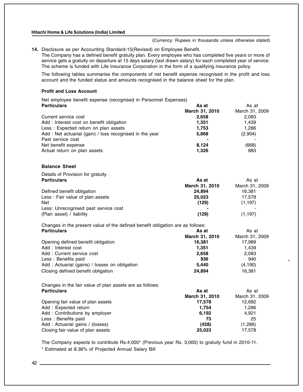(Currency: Rupees in thousands unless otherwise stated)

\*

**14.** Disclosure as per Accounting Standard-15(Revised) on Employee Benefit.

The Company has a defined benefit gratuity plan. Every employee who has completed five years or more of service gets a gratuity on departure at 15 days salary (last drawn salary) for each completed year of service. The scheme is funded with Life Insurance Corporation in the form of a qualifying insurance policy.

The following tables summarise the components of net benefit expense recognised in the profit and loss account and the funded status and amounts recognised in the balance sheet for the plan.

#### **Profit and Loss Account**

Net employee benefit expense (recognised in Personnel Expenses) **Particulars As at As at As at As at As at As at As at As at As at As at As at As at As at As at As at As at As at** 

|                                                                                | March 31, 2010 | March 31, 2009 |
|--------------------------------------------------------------------------------|----------------|----------------|
| Current service cost                                                           | 2,658          | 2,083          |
| Add : Interest cost on benefit obligation                                      | 1,351          | 1,439          |
| Less: Expected return on plan assets                                           | 1,753          | 1,286          |
| Add: Net actuarial (gain) / loss recognised in the year                        | 5,868          | (2,904)        |
| Past service cost                                                              |                |                |
| Net benefit expense                                                            | 8,124          | (668)          |
| Actual return on plan assets                                                   | 1,326          | 883            |
| <b>Balance Sheet</b>                                                           |                |                |
| Details of Provision for gratuity                                              |                |                |
| <b>Particulars</b>                                                             | As at          | As at          |
|                                                                                | March 31, 2010 | March 31, 2009 |
| Defined benefit obligation                                                     | 24,894         | 16,381         |
| Less: Fair value of plan assets                                                | 25,023         | 17,578         |
| <b>Net</b>                                                                     | (129)          | (1, 197)       |
| Less: Unrecognised past service cost                                           |                |                |
| (Plan asset) / liability                                                       | (129)          | (1, 197)       |
| Changes in the present value of the defined benefit obligation are as follows: |                |                |
| <b>Particulars</b>                                                             | As at          | As at          |
|                                                                                | March 31, 2010 | March 31, 2009 |
| Opening defined benefit obligation                                             | 16,381         | 17,989         |
| Add: Interest cost                                                             | 1,351          | 1,439          |
| Add: Current service cost                                                      | 2,658          | 2,083          |
| Less : Benefits paid                                                           | 936            | 940            |
| Add: Actuarial (gains) / losses on obligation                                  | 5,440          | (4, 190)       |
| Closing defined benefit obligation                                             | 24,894         | 16,381         |

Changes in the fair value of plan assets are as follows:

| <b>Particulars</b>                | As at          | As at          |  |
|-----------------------------------|----------------|----------------|--|
|                                   | March 31, 2010 | March 31, 2009 |  |
| Opening fair value of plan assets | 17.578         | 12,682         |  |
| Add: Expected return              | 1.754          | 1.286          |  |
| Add: Contributions by employer    | 6,192          | 4,921          |  |
| Less: Benefits paid               | 73             | 25             |  |
| Add: Actuarial gains / (losses)   | (428)          | (1,286)        |  |
| Closing fair value of plan assets | 25,023         | 17,578         |  |

The Company expects to contribute Rs.4,000\* (Previous year Rs. 3,000) to gratuity fund in 2010-11. \* Estimated at 8.36% of Projected Annual Salary Bill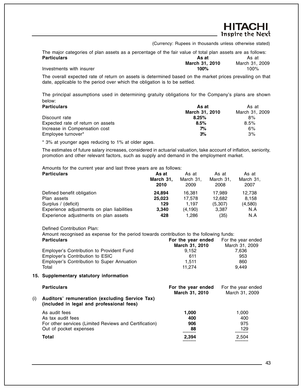(Currency: Rupees in thousands unless otherwise stated)

<del>HITACHI</del> **Inspire the Next** 

The major categories of plan assets as a percentage of the fair value of total plan assets are as follows:<br>**Particulars As at Particulars As at As at As at As at As at As at As at As at As at As at As at As at As at As at As at As at As at** 

|                          | March 31, 2010 | March 31, 2009 |
|--------------------------|----------------|----------------|
| Investments with insurer | 100%           | 100%           |
|                          |                |                |

The overall expected rate of return on assets is determined based on the market prices prevailing on that date, applicable to the period over which the obligation is to be settled.

The principal assumptions used in determining gratuity obligations for the Company's plans are shown below:

| <b>Particulars</b>                | As at          | As at          |  |
|-----------------------------------|----------------|----------------|--|
|                                   | March 31, 2010 | March 31, 2009 |  |
| Discount rate                     | 8.25%          | 8%             |  |
| Expected rate of return on assets | 8.5%           | 8.5%           |  |
| Increase in Compensation cost     | 7%             | 6%             |  |
| Employee turnover*                | 3%             | 3%             |  |

\* 3% at younger ages reducing to 1% at older ages.

The estimates of future salary increases, considered in actuarial valuation, take account of inflation, seniority, promotion and other relevant factors, such as supply and demand in the employment market.

Amounts for the current year and last three years are as follows:

| <b>Particulars</b>                         | As at     | As at     | As at     | As at     |
|--------------------------------------------|-----------|-----------|-----------|-----------|
|                                            | March 31, | March 31, | March 31, | March 31, |
|                                            | 2010      | 2009      | 2008      | 2007      |
| Defined benefit obligation                 | 24.894    | 16.381    | 17.989    | 12.738    |
| Plan assets                                | 25,023    | 17.578    | 12.682    | 8.158     |
| Surplus / (deficit)                        | 129       | 1.197     | (5,307)   | (4,580)   |
| Experience adjustments on plan liabilities | 3.340     | (4, 190)  | 3,387     | N.A       |
| Experience adjustments on plan assets      | 428       | 1.286     | (35)      | N.A       |

Defined Contribution Plan:

Amount recognised as expense for the period towards contribution to the following funds:

| <b>Particulars</b>                         | For the year ended | For the year ended |  |
|--------------------------------------------|--------------------|--------------------|--|
|                                            | March 31, 2010     | March 31, 2009     |  |
| Employer's Contribution to Provident Fund  | 9.152              | 7.636              |  |
| Employer's Contribution to ESIC            | 611                | 953                |  |
| Employer's Contribution to Super Annuation | 1.511              | 860                |  |
| Total                                      | 11.274             | 9.449              |  |

#### **15. Supplementary statutory information**

| 1.000 |
|-------|
| 400   |
| 975   |
| 129   |
| 2,504 |
|       |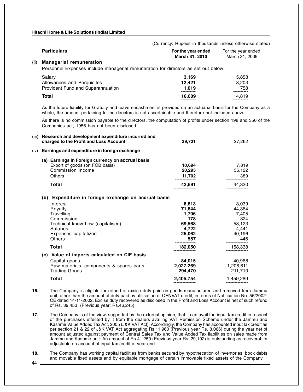|      |                                                                                    | (Currency: Rupees in thousands unless otherwise stated) |                                      |
|------|------------------------------------------------------------------------------------|---------------------------------------------------------|--------------------------------------|
|      | <b>Particulars</b>                                                                 | For the year ended<br>March 31, 2010                    | For the year ended<br>March 31, 2009 |
| (ii) | <b>Managerial remuneration</b>                                                     |                                                         |                                      |
|      | Personnel Expenses include managerial remuneration for directors as set out below: |                                                         |                                      |
|      | Salary                                                                             | 3.169                                                   | 5,858                                |
|      | Allowances and Perquisites                                                         | 12.421                                                  | 8,203                                |
|      | Provident Fund and Superannuation                                                  | 1,019                                                   | 758                                  |
|      | Total                                                                              | 16,609                                                  | 14,819                               |

As the future liability for Gratuity and leave encashment is provided on an actuarial basis for the Company as a whole, the amount pertaining to the directors is not ascertainable and therefore not included above.

. Companies act, 1956 has not been disclosed. As there is no commission payable to the directors, the computation of profits under section 198 and 350 of the

| (iii) | Research and development expenditure incurred and<br>charged to the Profit and Loss Account | 29,721    | 27,262    |
|-------|---------------------------------------------------------------------------------------------|-----------|-----------|
| (iv)  | Earnings and expenditure in foreign exchange                                                |           |           |
|       | (a) Earnings in Foreign currency on accrual basis                                           |           |           |
|       | Export of goods (on FOB basis)                                                              | 10.694    | 7,819     |
|       | Commission Income                                                                           | 20,295    | 36,122    |
|       | <b>Others</b>                                                                               | 11,702    | 389       |
|       | <b>Total</b>                                                                                | 42,691    | 44,330    |
|       | (b) Expenditure in foreign exchange on accrual basis                                        |           |           |
|       | Interest                                                                                    | 8,613     | 3,039     |
|       | Royalty                                                                                     | 71,644    | 44,364    |
|       | Travelling                                                                                  | 1,706     | 7,405     |
|       | Commission                                                                                  | 178       | 324       |
|       | Technical know how (capitalised)                                                            | 69,568    | 58,123    |
|       | Salaries                                                                                    | 4,722     | 4,441     |
|       | Expenses capitalized                                                                        | 25,062    | 40,196    |
|       | <b>Others</b>                                                                               | 557       | 446       |
|       | Total                                                                                       | 182,050   | 158,338   |
|       | (c) Value of imports calculated on CIF basis                                                |           |           |
|       | Capital goods                                                                               | 84.015    | 40,968    |
|       | Raw materials, components & spares parts                                                    | 2,027,269 | 1,206,611 |
|       | <b>Trading Goods</b>                                                                        | 294,470   | 211,710   |
|       | Total                                                                                       | 2,405,754 | 1,459,289 |
|       |                                                                                             |           |           |

- **16.** The Company is eligible for refund of excise duty paid on goods manufactured and removed from Jammu unit, other than the amount of duty paid by utilisation of CENVAT credit, in terms of Notification No. 56/2002- CE dated 14-11-2002. Excise duty recovered as disclosed in the Profit and Loss Account is net of such refund of Rs. 39,453 (Previous year: Rs.46,245).
- **17.** The Company is of the view, supported by the external opinion, that it can avail the input tax credit in respect of the purchases effected by it from the dealers availing VAT Remission Scheme under the Jammu and Kashmir Value Added Tax Act, 2005 (J&K VAT Act). Accordingly, the Company has accounted input tax credit as per section 21 & 22 of J&K VAT Act aggregating Rs.11,960 (Previous year Rs. 8,066) during the year net of amount adjusted against payment of Central Sales Tax and Value Added Tax liabilities on sales made from Jammu and Kashmir unit. An amount of Rs.41,250 (Previous year Rs. 29,192) is outstanding as recoverable/ adjustable on account of input tax credit at year end.
- **18.** The Company has working capital facilities from banks secured by hypothecation of inventories, book debts and movable fixed assets and by equitable mortgage of certain immovable fixed assets of the Company.

44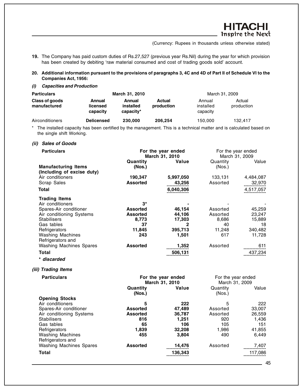HITACHI **Inspire the Next** 

(Currency: Rupees in thousands unless otherwise stated)

**19.** The Company has paid custom duties of Rs.27,527 (previous year Rs.Nil) during the year for which provision has been created by debiting 'raw material consumed and cost of trading goods sold' account.

**20. Additional information pursuant to the provisions of paragraphs 3, 4C and 4D of Part II of Schedule VI to the Companies Act, 1956:**

**(i) Capacities and Production**

| <b>Particulars</b>             |                                | March 31, 2010                   |                             |                                 | March 31, 2009       |
|--------------------------------|--------------------------------|----------------------------------|-----------------------------|---------------------------------|----------------------|
| Class of goods<br>manufactured | Annual<br>licensed<br>capacity | Annual<br>installed<br>capacity* | <b>Actual</b><br>production | Annual<br>installed<br>capacity | Actual<br>production |
| Airconditioners                | <b>Delicensed</b>              | 230,000                          | 206,254                     | 150,000                         | 132.417              |

The installed capacity has been certified by the management. This is a technical matter and is calculated based on the single shift Working.

#### **(ii) Sales of Goods**

| <b>Particulars</b>                             | For the year ended<br>March 31, 2010 |           | For the year ended<br>March 31, 2009 |           |
|------------------------------------------------|--------------------------------------|-----------|--------------------------------------|-----------|
| <b>Manufacturing Items</b>                     | Quantity<br>(Nos.)                   | Value     | Quantity<br>(Nos.)                   | Value     |
| (Including of excise duty)<br>Air conditioners | 190,347                              | 5,997,050 | 133,131                              | 4,484,087 |
| Scrap Sales                                    | <b>Assorted</b>                      | 43,256    | Assorted                             | 32,970    |
| Total                                          |                                      | 6,040,306 |                                      | 4,517,057 |
| <b>Trading Items</b>                           |                                      |           |                                      |           |
| Air conditioners                               | $3^{\star}$                          |           |                                      |           |
| Spares-Air conditioner                         | <b>Assorted</b>                      | 46,154    | Assorted                             | 45,259    |
| Air conditioning Systems                       | <b>Assorted</b>                      | 44,106    | Assorted                             | 23,247    |
| <b>Stabilisers</b>                             | 8,773                                | 17,303    | 8,686                                | 15,889    |
| Gas tables                                     | 37                                   | 2         | 40                                   | 18        |
| Refrigerators                                  | 11,845                               | 395,713   | 11,248                               | 340,482   |
| <b>Washing Machines</b>                        | 243                                  | 1,501     | 617                                  | 11,728    |
| Refrigerators and                              |                                      |           |                                      |           |
| <b>Washing Machines Spares</b>                 | <b>Assorted</b>                      | 1,352     | Assorted                             | 611       |
| Total                                          |                                      | 506,131   |                                      | 437,234   |
| * discarded                                    |                                      |           |                                      |           |

#### **(iii) Trading Items**

| <b>Particulars</b>             | For the year ended<br>March 31, 2010 |         | For the year ended<br>March 31, 2009 |         |
|--------------------------------|--------------------------------------|---------|--------------------------------------|---------|
|                                |                                      |         |                                      |         |
|                                | Quantity                             | Value   | Quantity                             | Value   |
|                                | (Nos.)                               |         | (Nos.)                               |         |
| <b>Opening Stocks</b>          |                                      |         |                                      |         |
| Air conditioners               | 5                                    | 222     | 5                                    | 222     |
| Spares-Air conditioner         | <b>Assorted</b>                      | 47,489  | Assorted                             | 33,007  |
| Air conditioning Systems       | <b>Assorted</b>                      | 36.787  | Assorted                             | 26.559  |
| <b>Stabilisers</b>             | 816                                  | 1,251   | 920                                  | 1,436   |
| Gas tables                     | 65                                   | 106     | 105                                  | 151     |
| Refrigerators                  | 1,839                                | 32,208  | 1,986                                | 41,855  |
| <b>Washing Machines</b>        | 455                                  | 3,804   | 490                                  | 6,449   |
| Refrigerators and              |                                      |         |                                      |         |
| <b>Washing Machines Spares</b> | <b>Assorted</b>                      | 14,476  | Assorted                             | 7,407   |
| <b>Total</b>                   |                                      | 136,343 |                                      | 117,086 |
|                                |                                      |         |                                      |         |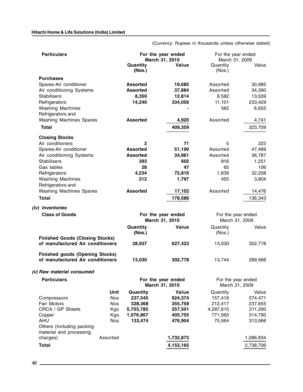(Currency: Rupees in thousands unless otherwise stated)

| <b>Particulars</b>                                                         |            | For the year ended<br>March 31, 2010 |                                      | For the year ended<br>March 31, 2009 |           |
|----------------------------------------------------------------------------|------------|--------------------------------------|--------------------------------------|--------------------------------------|-----------|
|                                                                            |            | Quantity<br>(Nos.)                   | Value                                | Quantity<br>(Nos.)                   | Value     |
| <b>Purchases</b>                                                           |            |                                      |                                      |                                      |           |
| Spares-Air conditioner                                                     |            | <b>Assorted</b>                      | 19,685                               | Assorted                             | 30,985    |
| Air conditioning Systems                                                   |            | <b>Assorted</b>                      | 37,884                               | Assorted                             | 34,390    |
| <b>Stabilisers</b>                                                         |            | 8,350                                | 12,814                               | 8,582                                | 13,509    |
| Refrigerators                                                              |            | 14,240                               | 334,056                              | 11,101                               | 233,429   |
| <b>Washing Machines</b>                                                    |            |                                      |                                      | 582                                  | 6,655     |
| Refrigerators and                                                          |            |                                      |                                      |                                      |           |
| <b>Washing Machines Spares</b>                                             |            | <b>Assorted</b>                      | 4,920                                | Assorted                             | 4,741     |
| <b>Total</b>                                                               |            |                                      | 409,359                              |                                      | 323,709   |
| <b>Closing Stocks</b>                                                      |            |                                      |                                      |                                      |           |
| Air conditioners                                                           |            | $\mathbf{2}$                         | 71                                   | 5                                    | 222       |
| Spares-Air conditioner                                                     |            | <b>Assorted</b>                      | 51,190                               | Assorted                             | 47,489    |
| Air conditioning Systems                                                   |            | <b>Assorted</b>                      | 34,961                               | Assorted                             | 36,787    |
| <b>Stabilisers</b>                                                         |            | 393                                  | 602                                  | 816                                  | 1,251     |
| Gas tables                                                                 |            | 28                                   | 47                                   | 65                                   | 106       |
| Refrigerators                                                              |            | 4,234                                | 72,816                               | 1,839                                | 32,208    |
| <b>Washing Machines</b>                                                    |            | 212                                  | 1,797                                | 455                                  | 3,804     |
| Refrigerators and                                                          |            |                                      |                                      |                                      |           |
| <b>Washing Machines Spares</b>                                             |            | <b>Assorted</b>                      | 17,102                               | Assorted                             | 14,476    |
| <b>Total</b>                                                               |            |                                      | 178,586                              |                                      | 136,343   |
| (iv) Inventories                                                           |            |                                      |                                      |                                      |           |
| <b>Class of Goods</b>                                                      |            |                                      | For the year ended<br>March 31, 2010 | For the year ended<br>March 31, 2009 |           |
|                                                                            |            | Quantity<br>(Nos.)                   | Value                                | Quantity<br>(Nos.)                   | Value     |
| <b>Finished Goods (Closing Stocks)</b><br>of manufactured Air conditioners |            | 28,937                               | 627,423                              | 13,030                               | 302,778   |
| <b>Finished goods (Opening Stocks)</b><br>of manufactured Air conditioners |            | 13,030                               | 302,778                              | 13,744                               | 289,566   |
|                                                                            |            |                                      |                                      |                                      |           |
| (v) Raw material consumed                                                  |            |                                      |                                      |                                      |           |
| <b>Particulars</b>                                                         |            | For the year ended<br>March 31, 2010 |                                      | For the year ended<br>March 31, 2009 |           |
|                                                                            | Unit       | Quantity                             | Value                                | Quantity                             | Value     |
| Compressors                                                                | <b>Nos</b> | 237,545                              | 924,374                              | 157,419                              | 574,471   |
| Fan Motors                                                                 | <b>Nos</b> | 328,368                              | 355,758                              | 212,417                              | 237,655   |
| CRCA / GP Sheets                                                           | Kgs        | 5,703,785                            | 257,501                              | 4,287,615                            | 211,290   |
| Copper<br>AHU                                                              | Kgs        | 1,076,867<br>133,474                 | 405,755                              | 771,060                              | 314,790   |
| Others (Including packing<br>material and processing                       | Nos        |                                      | 476,904                              | 75,564                               | 313,566   |
| charges)                                                                   | Assorted   |                                      | 1,732,873                            |                                      | 1,086,934 |
| <b>Total</b>                                                               |            |                                      | 4,153,165                            |                                      | 2,738,706 |
|                                                                            |            |                                      |                                      |                                      |           |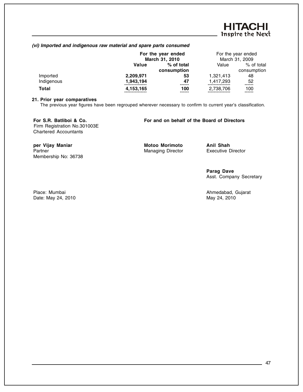#### **(vi) Imported and indigenous raw material and spare parts consumed**

|            | For the year ended<br>March 31, 2010 |             | For the year ended<br>March 31, 2009 |             |
|------------|--------------------------------------|-------------|--------------------------------------|-------------|
|            | Value                                | % of total  | Value                                | % of total  |
|            |                                      | consumption |                                      | consumption |
| Imported   | 2,209,971                            | 53          | 1,321,413                            | 48          |
| Indigenous | 1,943,194                            | 47          | 1,417,293                            | 52          |
| Total      | 4,153,165                            | 100         | 2,738,706                            | 100         |

#### **21. Prior year comparatives**

The previous year figures have been regrouped wherever necessary to confirm to current year's classification.

Membership No: 36738

Firm Registration No.301003E Chartered Accountants

#### **For S.R. Batliboi & Co. For and on behalf of the Board of Directors**

**per Vijay Maniar Motoo Morimoto Anil Shah**<br> **Partner Managing Director Executive Director** Managing Director

**Parag Dave** Asst. Company Secretary

Place: Mumbai **Ahmedabad, Gujarat** Date: May 24, 2010 **May 24, 2010** May 24, 2010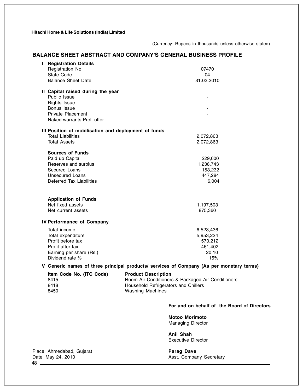(Currency: Rupees in thousands unless otherwise stated)

#### **BALANCE SHEET ABSTRACT AND COMPANY'S GENERAL BUSINESS PROFILE**

| т | <b>Registration Details</b>                                                  |            |
|---|------------------------------------------------------------------------------|------------|
|   | Registration No.                                                             | 07470      |
|   | <b>State Code</b>                                                            | 04         |
|   | <b>Balance Sheet Date</b>                                                    | 31.03.2010 |
|   | II Capital raised during the year                                            |            |
|   | Public Issue                                                                 |            |
|   | <b>Rights Issue</b>                                                          |            |
|   | Bonus Issue                                                                  |            |
|   | <b>Private Placement</b>                                                     |            |
|   | Naked warrants Pref. offer                                                   |            |
|   | III Position of mobilisation and deployment of funds                         |            |
|   | <b>Total Liabilities</b>                                                     | 2,072,863  |
|   | <b>Total Assets</b>                                                          | 2,072,863  |
|   | <b>Sources of Funds</b>                                                      |            |
|   | Paid up Capital                                                              | 229,600    |
|   | Reserves and surplus                                                         | 1,236,743  |
|   | Secured Loans                                                                | 153,232    |
|   | <b>Unsecured Loans</b>                                                       | 447,284    |
|   | Deferred Tax Liabilities                                                     | 6,004      |
|   |                                                                              |            |
|   | <b>Application of Funds</b>                                                  |            |
|   | Net fixed assets                                                             | 1,197,503  |
|   | Net current assets                                                           | 875,360    |
|   | <b>IV Performance of Company</b>                                             |            |
|   | Total income                                                                 | 6,523,436  |
|   | Total expenditure                                                            | 5,953,224  |
|   | Profit before tax                                                            | 570,212    |
|   | Profit after tax                                                             | 461,402    |
|   | Earning per share (Rs.)                                                      | 20.10      |
|   | Dividend rate %                                                              | 15%        |
|   | V Coneric names of three principal products/ services of Company (As per mon |            |

**V Generic names of three principal products/ services of Company (As per monetary terms)**

| Item Code No. (ITC Code) | <b>Product Description</b>                        |
|--------------------------|---------------------------------------------------|
| 8415                     | Room Air Conditioners & Packaged Air Conditioners |
| 8418                     | Household Refrigerators and Chillers              |
| 8450                     | Washing Machines                                  |

#### **For and on behalf of the Board of Directors**

**Motoo Morimoto** Managing Director

**Anil Shah** Executive Director

Asst. Company Secretary

Place: Ahmedabad, Gujarat **Parag Dave Parag Dave**<br>
Date: May 24, 2010 **Parag Dave Asst. Comparage Parag Parag Parag Parag** Asst. Compar 48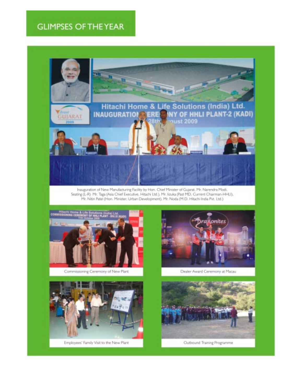## **GLIMPSES OF THE YEAR**



Inauguration of New Manufacturing Facility by Hon. Chief Minister of Gujarat, Mr. Narendra Modi.<br>Seating (L-R) Mr. Taga (Asia Chief Executive, Hitachi Ltd.), Mr. lizuka (Past MD, Current Chairman-HHLI), Mr. Nitin Patel (Hon. Minister, Urban Development), Mr. Noda (M.D. Hitachi India Pvt. Ltd.)



Commissioning Ceremony of New Plant



Dealer Award Ceremony at Macau



Employees' Family Visit to the New Plant



Outbound Training Programme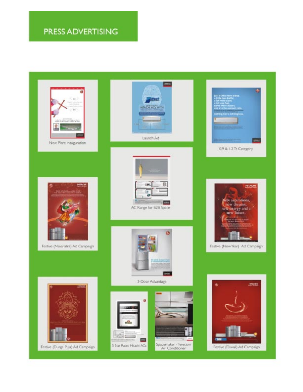# PRESS ADVERTISING

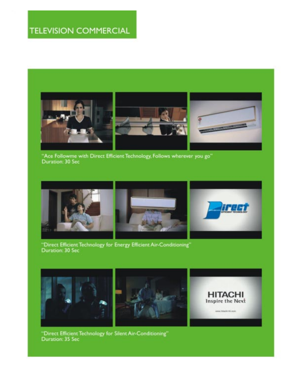

"Ace Followme with Direct Efficient Technology, Follows wherever you go"<br>Duration: 30 Sec



"Direct Efficient Technology for Energy Efficient Air-Conditioning"<br>Duration: 30 Sec







"Direct Efficient Technology for Silent Air-Conditioning"<br>Duration: 35 Sec